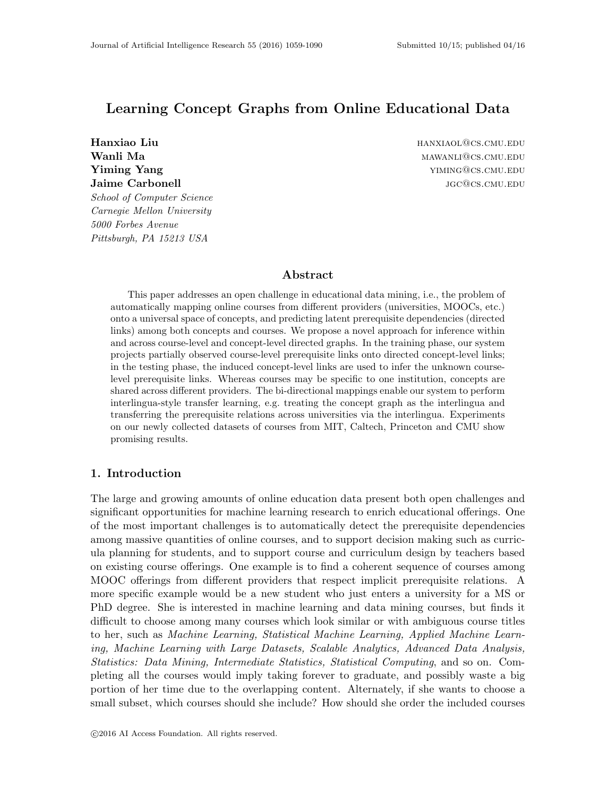# Learning Concept Graphs from Online Educational Data

Wanli Ma $_{\text{MAWANLI@CS.CMU. EDU}}$ **Yiming Yang yiming Yang** yiming **Yang** yiming **Yang** yiming **Yang** yiming **Yang** yiming **Yang** yiming **Yang** yiming **Yang** yiming **Yang** yiming **Yang** yiming **Yang** yiming **Yang** yiming **Yang** yiming **Yang** yiming **Yang Jaime Carbonell is a conserved to the conserved of the conserved of the conserved of the conserved of the conserved of the conserved of the conserved of the conserved of the conserved of the conserved of the conserved of** School of Computer Science Carnegie Mellon University 5000 Forbes Avenue Pittsburgh, PA 15213 USA

Hanxiao Liu hanxiao Liu hanxiao Liu hanxiao Liu hanxiao Liu hanxiao Liu hanxiao Liu hanxiao Liu hanxiao Liu han

# Abstract

This paper addresses an open challenge in educational data mining, i.e., the problem of automatically mapping online courses from different providers (universities, MOOCs, etc.) onto a universal space of concepts, and predicting latent prerequisite dependencies (directed links) among both concepts and courses. We propose a novel approach for inference within and across course-level and concept-level directed graphs. In the training phase, our system projects partially observed course-level prerequisite links onto directed concept-level links; in the testing phase, the induced concept-level links are used to infer the unknown courselevel prerequisite links. Whereas courses may be specific to one institution, concepts are shared across different providers. The bi-directional mappings enable our system to perform interlingua-style transfer learning, e.g. treating the concept graph as the interlingua and transferring the prerequisite relations across universities via the interlingua. Experiments on our newly collected datasets of courses from MIT, Caltech, Princeton and CMU show promising results.

# 1. Introduction

The large and growing amounts of online education data present both open challenges and significant opportunities for machine learning research to enrich educational offerings. One of the most important challenges is to automatically detect the prerequisite dependencies among massive quantities of online courses, and to support decision making such as curricula planning for students, and to support course and curriculum design by teachers based on existing course offerings. One example is to find a coherent sequence of courses among MOOC offerings from different providers that respect implicit prerequisite relations. A more specific example would be a new student who just enters a university for a MS or PhD degree. She is interested in machine learning and data mining courses, but finds it difficult to choose among many courses which look similar or with ambiguous course titles to her, such as Machine Learning, Statistical Machine Learning, Applied Machine Learning, Machine Learning with Large Datasets, Scalable Analytics, Advanced Data Analysis, Statistics: Data Mining, Intermediate Statistics, Statistical Computing, and so on. Completing all the courses would imply taking forever to graduate, and possibly waste a big portion of her time due to the overlapping content. Alternately, if she wants to choose a small subset, which courses should she include? How should she order the included courses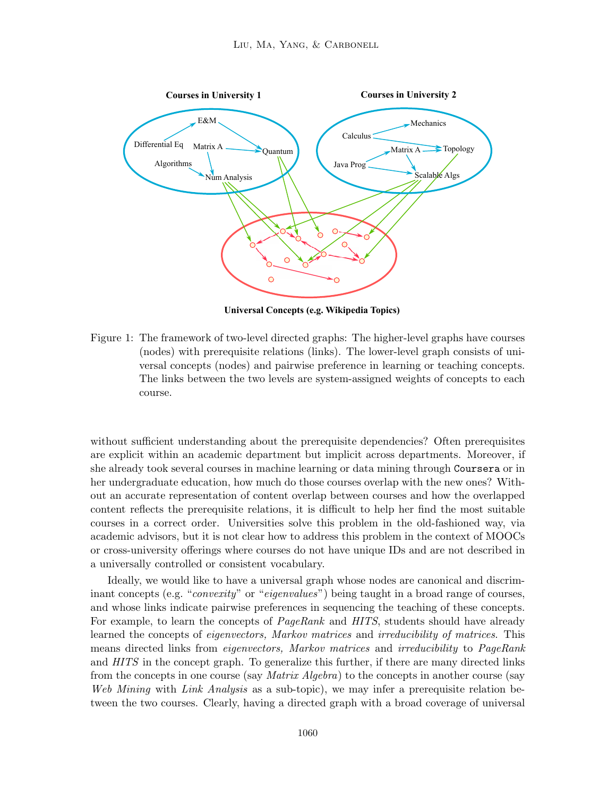

**Universal Concepts (e.g. Wikipedia Topics)**

Figure 1: The framework of two-level directed graphs: The higher-level graphs have courses (nodes) with prerequisite relations (links). The lower-level graph consists of universal concepts (nodes) and pairwise preference in learning or teaching concepts. The links between the two levels are system-assigned weights of concepts to each course.

without sufficient understanding about the prerequisite dependencies? Often prerequisites are explicit within an academic department but implicit across departments. Moreover, if she already took several courses in machine learning or data mining through Coursera or in her undergraduate education, how much do those courses overlap with the new ones? Without an accurate representation of content overlap between courses and how the overlapped content reflects the prerequisite relations, it is difficult to help her find the most suitable courses in a correct order. Universities solve this problem in the old-fashioned way, via academic advisors, but it is not clear how to address this problem in the context of MOOCs or cross-university offerings where courses do not have unique IDs and are not described in a universally controlled or consistent vocabulary.

Ideally, we would like to have a universal graph whose nodes are canonical and discriminant concepts (e.g. "*convexity*" or "*eigenvalues*") being taught in a broad range of courses, and whose links indicate pairwise preferences in sequencing the teaching of these concepts. For example, to learn the concepts of *PageRank* and *HITS*, students should have already learned the concepts of eigenvectors, Markov matrices and irreducibility of matrices. This means directed links from *eigenvectors*, Markov matrices and irreducibility to PageRank and HITS in the concept graph. To generalize this further, if there are many directed links from the concepts in one course (say *Matrix Algebra*) to the concepts in another course (say Web Mining with Link Analysis as a sub-topic), we may infer a prerequisite relation between the two courses. Clearly, having a directed graph with a broad coverage of universal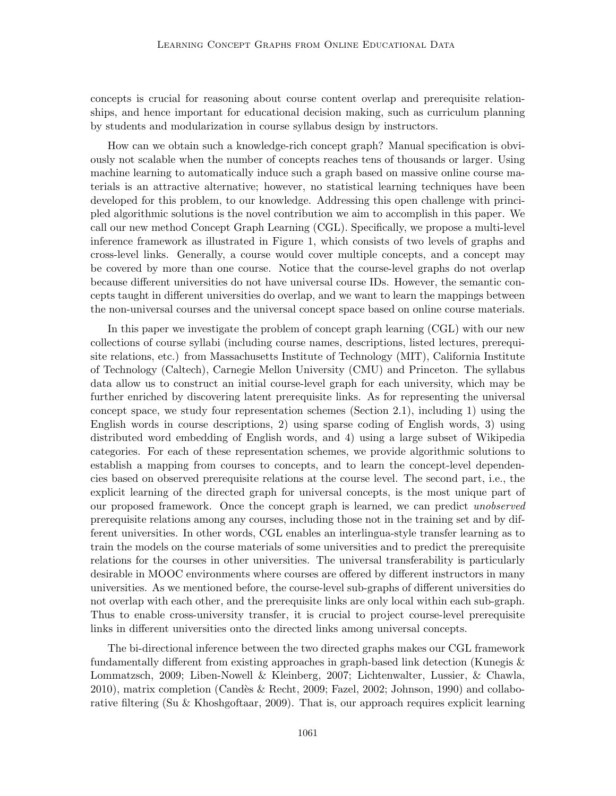concepts is crucial for reasoning about course content overlap and prerequisite relationships, and hence important for educational decision making, such as curriculum planning by students and modularization in course syllabus design by instructors.

How can we obtain such a knowledge-rich concept graph? Manual specification is obviously not scalable when the number of concepts reaches tens of thousands or larger. Using machine learning to automatically induce such a graph based on massive online course materials is an attractive alternative; however, no statistical learning techniques have been developed for this problem, to our knowledge. Addressing this open challenge with principled algorithmic solutions is the novel contribution we aim to accomplish in this paper. We call our new method Concept Graph Learning (CGL). Specifically, we propose a multi-level inference framework as illustrated in Figure 1, which consists of two levels of graphs and cross-level links. Generally, a course would cover multiple concepts, and a concept may be covered by more than one course. Notice that the course-level graphs do not overlap because different universities do not have universal course IDs. However, the semantic concepts taught in different universities do overlap, and we want to learn the mappings between the non-universal courses and the universal concept space based on online course materials.

In this paper we investigate the problem of concept graph learning (CGL) with our new collections of course syllabi (including course names, descriptions, listed lectures, prerequisite relations, etc.) from Massachusetts Institute of Technology (MIT), California Institute of Technology (Caltech), Carnegie Mellon University (CMU) and Princeton. The syllabus data allow us to construct an initial course-level graph for each university, which may be further enriched by discovering latent prerequisite links. As for representing the universal concept space, we study four representation schemes (Section 2.1), including 1) using the English words in course descriptions, 2) using sparse coding of English words, 3) using distributed word embedding of English words, and 4) using a large subset of Wikipedia categories. For each of these representation schemes, we provide algorithmic solutions to establish a mapping from courses to concepts, and to learn the concept-level dependencies based on observed prerequisite relations at the course level. The second part, i.e., the explicit learning of the directed graph for universal concepts, is the most unique part of our proposed framework. Once the concept graph is learned, we can predict unobserved prerequisite relations among any courses, including those not in the training set and by different universities. In other words, CGL enables an interlingua-style transfer learning as to train the models on the course materials of some universities and to predict the prerequisite relations for the courses in other universities. The universal transferability is particularly desirable in MOOC environments where courses are offered by different instructors in many universities. As we mentioned before, the course-level sub-graphs of different universities do not overlap with each other, and the prerequisite links are only local within each sub-graph. Thus to enable cross-university transfer, it is crucial to project course-level prerequisite links in different universities onto the directed links among universal concepts.

The bi-directional inference between the two directed graphs makes our CGL framework fundamentally different from existing approaches in graph-based link detection (Kunegis & Lommatzsch, 2009; Liben-Nowell & Kleinberg, 2007; Lichtenwalter, Lussier, & Chawla,  $2010$ ), matrix completion (Candès & Recht, 2009; Fazel, 2002; Johnson, 1990) and collaborative filtering (Su & Khoshgoftaar, 2009). That is, our approach requires explicit learning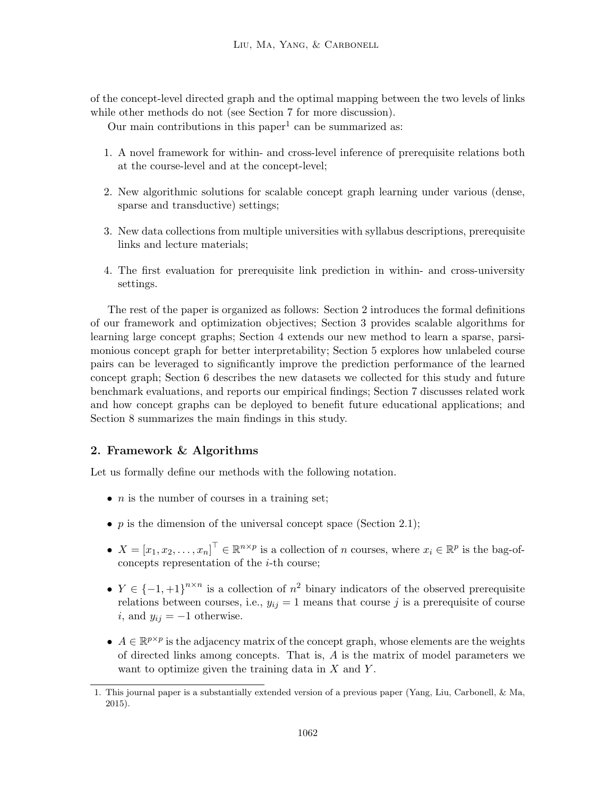of the concept-level directed graph and the optimal mapping between the two levels of links while other methods do not (see Section 7 for more discussion).

Our main contributions in this paper<sup>1</sup> can be summarized as:

- 1. A novel framework for within- and cross-level inference of prerequisite relations both at the course-level and at the concept-level;
- 2. New algorithmic solutions for scalable concept graph learning under various (dense, sparse and transductive) settings;
- 3. New data collections from multiple universities with syllabus descriptions, prerequisite links and lecture materials;
- 4. The first evaluation for prerequisite link prediction in within- and cross-university settings.

The rest of the paper is organized as follows: Section 2 introduces the formal definitions of our framework and optimization objectives; Section 3 provides scalable algorithms for learning large concept graphs; Section 4 extends our new method to learn a sparse, parsimonious concept graph for better interpretability; Section 5 explores how unlabeled course pairs can be leveraged to significantly improve the prediction performance of the learned concept graph; Section 6 describes the new datasets we collected for this study and future benchmark evaluations, and reports our empirical findings; Section 7 discusses related work and how concept graphs can be deployed to benefit future educational applications; and Section 8 summarizes the main findings in this study.

# 2. Framework & Algorithms

Let us formally define our methods with the following notation.

- $n$  is the number of courses in a training set;
- p is the dimension of the universal concept space (Section 2.1);
- $X = [x_1, x_2, \dots, x_n]^\top \in \mathbb{R}^{n \times p}$  is a collection of n courses, where  $x_i \in \mathbb{R}^p$  is the bag-ofconcepts representation of the  $i$ -th course;
- $Y \in \{-1, +1\}^{n \times n}$  is a collection of  $n^2$  binary indicators of the observed prerequisite relations between courses, i.e.,  $y_{ij} = 1$  means that course j is a prerequisite of course i, and  $y_{ij} = -1$  otherwise.
- $A \in \mathbb{R}^{p \times p}$  is the adjacency matrix of the concept graph, whose elements are the weights of directed links among concepts. That is, A is the matrix of model parameters we want to optimize given the training data in  $X$  and  $Y$ .

<sup>1.</sup> This journal paper is a substantially extended version of a previous paper (Yang, Liu, Carbonell, & Ma, 2015).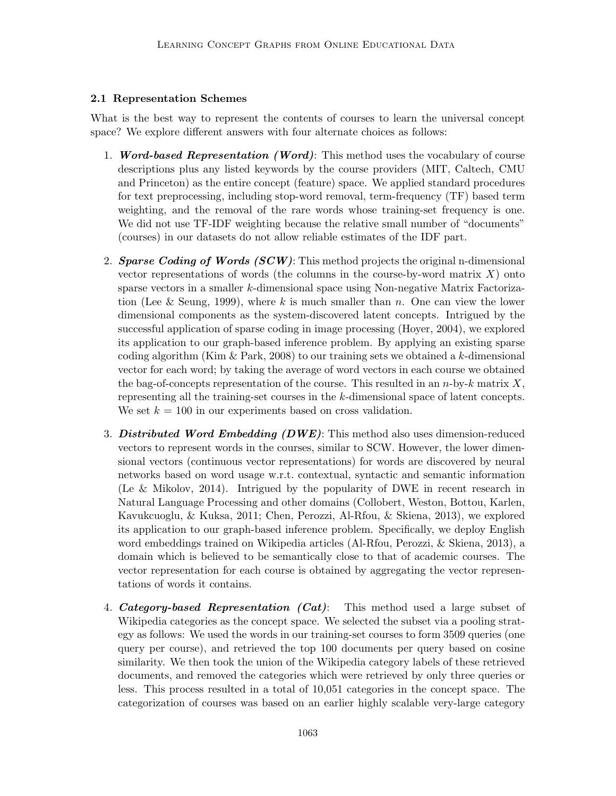# 2.1 Representation Schemes

What is the best way to represent the contents of courses to learn the universal concept space? We explore different answers with four alternate choices as follows:

- 1. *Word-based Representation (Word)*: This method uses the vocabulary of course descriptions plus any listed keywords by the course providers (MIT, Caltech, CMU and Princeton) as the entire concept (feature) space. We applied standard procedures for text preprocessing, including stop-word removal, term-frequency (TF) based term weighting, and the removal of the rare words whose training-set frequency is one. We did not use TF-IDF weighting because the relative small number of "documents" (courses) in our datasets do not allow reliable estimates of the IDF part.
- 2. Sparse Coding of Words  $(SCW)$ : This method projects the original n-dimensional vector representations of words (the columns in the course-by-word matrix  $X$ ) onto sparse vectors in a smaller k-dimensional space using Non-negative Matrix Factorization (Lee & Seung, 1999), where k is much smaller than n. One can view the lower dimensional components as the system-discovered latent concepts. Intrigued by the successful application of sparse coding in image processing (Hoyer, 2004), we explored its application to our graph-based inference problem. By applying an existing sparse coding algorithm (Kim  $\&$  Park, 2008) to our training sets we obtained a k-dimensional vector for each word; by taking the average of word vectors in each course we obtained the bag-of-concepts representation of the course. This resulted in an  $n$ -by-k matrix X, representing all the training-set courses in the k-dimensional space of latent concepts. We set  $k = 100$  in our experiments based on cross validation.
- 3. Distributed Word Embedding  $(DWE)$ : This method also uses dimension-reduced vectors to represent words in the courses, similar to SCW. However, the lower dimensional vectors (continuous vector representations) for words are discovered by neural networks based on word usage w.r.t. contextual, syntactic and semantic information (Le & Mikolov, 2014). Intrigued by the popularity of DWE in recent research in Natural Language Processing and other domains (Collobert, Weston, Bottou, Karlen, Kavukcuoglu, & Kuksa, 2011; Chen, Perozzi, Al-Rfou, & Skiena, 2013), we explored its application to our graph-based inference problem. Specifically, we deploy English word embeddings trained on Wikipedia articles (Al-Rfou, Perozzi, & Skiena, 2013), a domain which is believed to be semantically close to that of academic courses. The vector representation for each course is obtained by aggregating the vector representations of words it contains.
- 4. Category-based Representation  $(Cat)$ : This method used a large subset of Wikipedia categories as the concept space. We selected the subset via a pooling strategy as follows: We used the words in our training-set courses to form 3509 queries (one query per course), and retrieved the top 100 documents per query based on cosine similarity. We then took the union of the Wikipedia category labels of these retrieved documents, and removed the categories which were retrieved by only three queries or less. This process resulted in a total of 10,051 categories in the concept space. The categorization of courses was based on an earlier highly scalable very-large category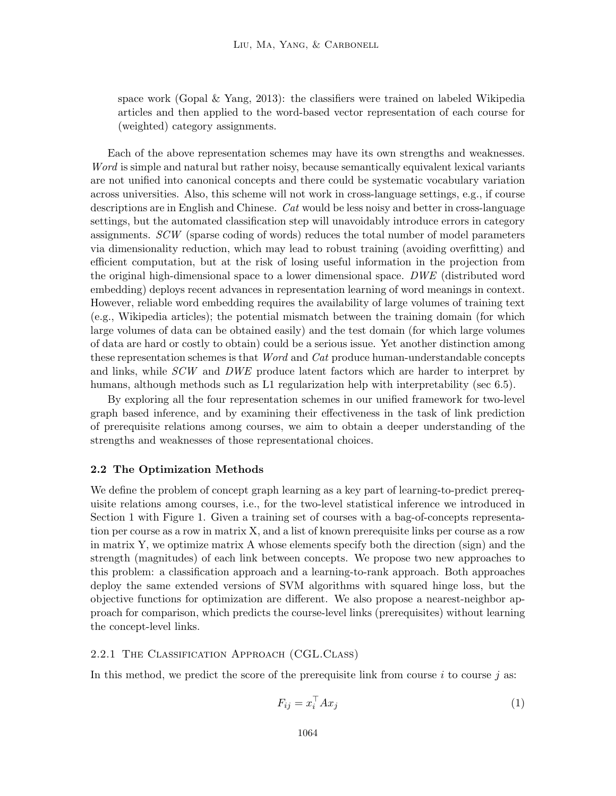space work (Gopal  $\&$  Yang, 2013): the classifiers were trained on labeled Wikipedia articles and then applied to the word-based vector representation of each course for (weighted) category assignments.

Each of the above representation schemes may have its own strengths and weaknesses. Word is simple and natural but rather noisy, because semantically equivalent lexical variants are not unified into canonical concepts and there could be systematic vocabulary variation across universities. Also, this scheme will not work in cross-language settings, e.g., if course descriptions are in English and Chinese. Cat would be less noisy and better in cross-language settings, but the automated classification step will unavoidably introduce errors in category assignments. SCW (sparse coding of words) reduces the total number of model parameters via dimensionality reduction, which may lead to robust training (avoiding overfitting) and efficient computation, but at the risk of losing useful information in the projection from the original high-dimensional space to a lower dimensional space. DWE (distributed word embedding) deploys recent advances in representation learning of word meanings in context. However, reliable word embedding requires the availability of large volumes of training text (e.g., Wikipedia articles); the potential mismatch between the training domain (for which large volumes of data can be obtained easily) and the test domain (for which large volumes of data are hard or costly to obtain) could be a serious issue. Yet another distinction among these representation schemes is that *Word* and *Cat* produce human-understandable concepts and links, while SCW and DWE produce latent factors which are harder to interpret by humans, although methods such as L1 regularization help with interpretability (sec 6.5).

By exploring all the four representation schemes in our unified framework for two-level graph based inference, and by examining their effectiveness in the task of link prediction of prerequisite relations among courses, we aim to obtain a deeper understanding of the strengths and weaknesses of those representational choices.

### 2.2 The Optimization Methods

We define the problem of concept graph learning as a key part of learning-to-predict prerequisite relations among courses, i.e., for the two-level statistical inference we introduced in Section 1 with Figure 1. Given a training set of courses with a bag-of-concepts representation per course as a row in matrix X, and a list of known prerequisite links per course as a row in matrix Y, we optimize matrix A whose elements specify both the direction (sign) and the strength (magnitudes) of each link between concepts. We propose two new approaches to this problem: a classification approach and a learning-to-rank approach. Both approaches deploy the same extended versions of SVM algorithms with squared hinge loss, but the objective functions for optimization are different. We also propose a nearest-neighbor approach for comparison, which predicts the course-level links (prerequisites) without learning the concept-level links.

#### 2.2.1 THE CLASSIFICATION APPROACH (CGL.CLASS)

In this method, we predict the score of the prerequisite link from course  $i$  to course  $j$  as:

$$
F_{ij} = x_i^{\top} A x_j \tag{1}
$$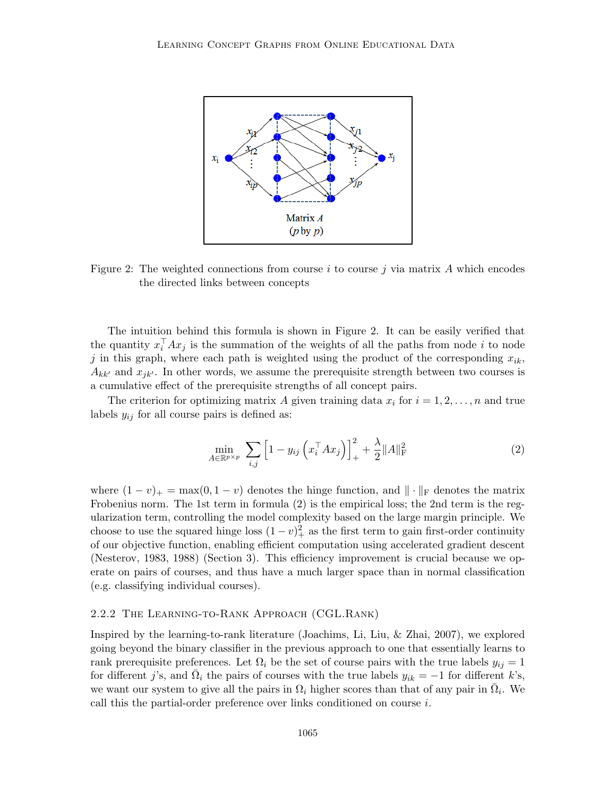

Figure 2: The weighted connections from course i to course j via matrix A which encodes the directed links between concepts

The intuition behind this formula is shown in Figure 2. It can be easily verified that the quantity  $x_i^{\top} A x_j$  is the summation of the weights of all the paths from node i to node j in this graph, where each path is weighted using the product of the corresponding  $x_{ik}$ ,  $A_{kk'}$  and  $x_{ik'}$ . In other words, we assume the prerequisite strength between two courses is a cumulative effect of the prerequisite strengths of all concept pairs.

The criterion for optimizing matrix A given training data  $x_i$  for  $i = 1, 2, \ldots, n$  and true labels  $y_{ij}$  for all course pairs is defined as:

$$
\min_{A \in \mathbb{R}^{p \times p}} \sum_{i,j} \left[ 1 - y_{ij} \left( x_i^\top A x_j \right) \right]_+^2 + \frac{\lambda}{2} \| A \|_{\text{F}}^2 \tag{2}
$$

where  $(1-v)_+ = \max(0, 1-v)$  denotes the hinge function, and  $\|\cdot\|_F$  denotes the matrix Frobenius norm. The 1st term in formula (2) is the empirical loss; the 2nd term is the regularization term, controlling the model complexity based on the large margin principle. We choose to use the squared hinge loss  $(1 - v)_+^2$  as the first term to gain first-order continuity of our objective function, enabling efficient computation using accelerated gradient descent (Nesterov, 1983, 1988) (Section 3). This efficiency improvement is crucial because we operate on pairs of courses, and thus have a much larger space than in normal classification (e.g. classifying individual courses).

# 2.2.2 The Learning-to-Rank Approach (CGL.Rank)

Inspired by the learning-to-rank literature (Joachims, Li, Liu, & Zhai, 2007), we explored going beyond the binary classifier in the previous approach to one that essentially learns to rank prerequisite preferences. Let  $\Omega_i$  be the set of course pairs with the true labels  $y_{ij} = 1$ for different j's, and  $\overline{\Omega}_i$  the pairs of courses with the true labels  $y_{ik} = -1$  for different k's, we want our system to give all the pairs in  $\Omega_i$  higher scores than that of any pair in  $\overline{\Omega}_i$ . We call this the partial-order preference over links conditioned on course i.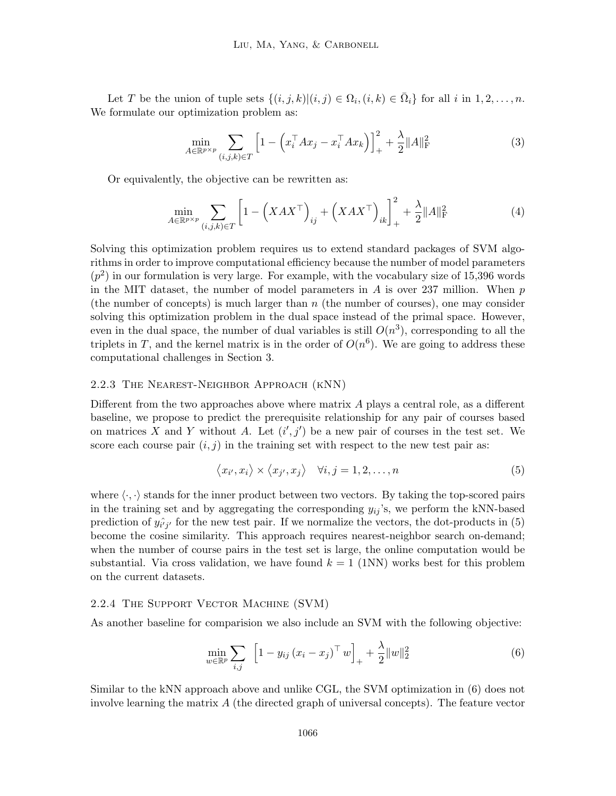Let T be the union of tuple sets  $\{(i, j, k) | (i, j) \in \Omega_i, (i, k) \in \overline{\Omega}_i\}$  for all i in  $1, 2, ..., n$ . We formulate our optimization problem as:

$$
\min_{A \in \mathbb{R}^{p \times p}} \sum_{(i,j,k) \in T} \left[ 1 - \left( x_i^\top A x_j - x_i^\top A x_k \right) \right]_+^2 + \frac{\lambda}{2} \| A \|_{\mathrm{F}}^2 \tag{3}
$$

Or equivalently, the objective can be rewritten as:

$$
\min_{A \in \mathbb{R}^{p \times p}} \sum_{(i,j,k) \in T} \left[ 1 - \left( XAX^\top \right)_{ij} + \left( XAX^\top \right)_{ik} \right]_+^2 + \frac{\lambda}{2} ||A||_F^2 \tag{4}
$$

Solving this optimization problem requires us to extend standard packages of SVM algorithms in order to improve computational efficiency because the number of model parameters  $(p^2)$  in our formulation is very large. For example, with the vocabulary size of 15,396 words in the MIT dataset, the number of model parameters in  $A$  is over 237 million. When  $p$ (the number of concepts) is much larger than  $n$  (the number of courses), one may consider solving this optimization problem in the dual space instead of the primal space. However, even in the dual space, the number of dual variables is still  $O(n^3)$ , corresponding to all the triplets in T, and the kernel matrix is in the order of  $O(n^6)$ . We are going to address these computational challenges in Section 3.

#### 2.2.3 The Nearest-Neighbor Approach (kNN)

Different from the two approaches above where matrix A plays a central role, as a different baseline, we propose to predict the prerequisite relationship for any pair of courses based on matrices X and Y without A. Let  $(i', j')$  be a new pair of courses in the test set. We score each course pair  $(i, j)$  in the training set with respect to the new test pair as:

$$
\langle x_{i'}, x_i \rangle \times \langle x_{j'}, x_j \rangle \quad \forall i, j = 1, 2, \dots, n \tag{5}
$$

where  $\langle \cdot, \cdot \rangle$  stands for the inner product between two vectors. By taking the top-scored pairs in the training set and by aggregating the corresponding  $y_{ij}$ 's, we perform the kNN-based prediction of  $y_{i'j'}$  for the new test pair. If we normalize the vectors, the dot-products in (5) become the cosine similarity. This approach requires nearest-neighbor search on-demand; when the number of course pairs in the test set is large, the online computation would be substantial. Via cross validation, we have found  $k = 1$  (1NN) works best for this problem on the current datasets.

#### 2.2.4 The Support Vector Machine (SVM)

As another baseline for comparision we also include an SVM with the following objective:

$$
\min_{w \in \mathbb{R}^p} \sum_{i,j} \left[ 1 - y_{ij} \left( x_i - x_j \right)^\top w \right]_+ + \frac{\lambda}{2} \|w\|_2^2 \tag{6}
$$

Similar to the kNN approach above and unlike CGL, the SVM optimization in (6) does not involve learning the matrix A (the directed graph of universal concepts). The feature vector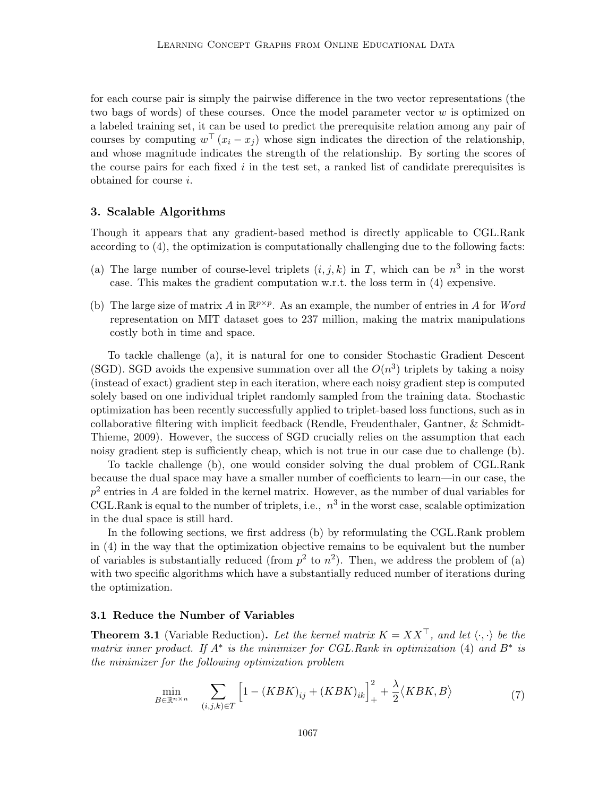for each course pair is simply the pairwise difference in the two vector representations (the two bags of words) of these courses. Once the model parameter vector  $w$  is optimized on a labeled training set, it can be used to predict the prerequisite relation among any pair of courses by computing  $w^{\top}(x_i - x_j)$  whose sign indicates the direction of the relationship, and whose magnitude indicates the strength of the relationship. By sorting the scores of the course pairs for each fixed  $i$  in the test set, a ranked list of candidate prerequisites is obtained for course i.

### 3. Scalable Algorithms

Though it appears that any gradient-based method is directly applicable to CGL.Rank according to (4), the optimization is computationally challenging due to the following facts:

- (a) The large number of course-level triplets  $(i, j, k)$  in T, which can be  $n<sup>3</sup>$  in the worst case. This makes the gradient computation w.r.t. the loss term in (4) expensive.
- (b) The large size of matrix A in  $\mathbb{R}^{p \times p}$ . As an example, the number of entries in A for Word representation on MIT dataset goes to 237 million, making the matrix manipulations costly both in time and space.

To tackle challenge (a), it is natural for one to consider Stochastic Gradient Descent (SGD). SGD avoids the expensive summation over all the  $O(n^3)$  triplets by taking a noisy (instead of exact) gradient step in each iteration, where each noisy gradient step is computed solely based on one individual triplet randomly sampled from the training data. Stochastic optimization has been recently successfully applied to triplet-based loss functions, such as in collaborative filtering with implicit feedback (Rendle, Freudenthaler, Gantner, & Schmidt-Thieme, 2009). However, the success of SGD crucially relies on the assumption that each noisy gradient step is sufficiently cheap, which is not true in our case due to challenge (b).

To tackle challenge (b), one would consider solving the dual problem of CGL.Rank because the dual space may have a smaller number of coefficients to learn—in our case, the  $p^2$  entries in A are folded in the kernel matrix. However, as the number of dual variables for CGL.Rank is equal to the number of triplets, i.e.,  $n^3$  in the worst case, scalable optimization in the dual space is still hard.

In the following sections, we first address (b) by reformulating the CGL.Rank problem in (4) in the way that the optimization objective remains to be equivalent but the number of variables is substantially reduced (from  $p^2$  to  $n^2$ ). Then, we address the problem of (a) with two specific algorithms which have a substantially reduced number of iterations during the optimization.

#### 3.1 Reduce the Number of Variables

**Theorem 3.1** (Variable Reduction). Let the kernel matrix  $K = XX^{\top}$ , and let  $\langle \cdot, \cdot \rangle$  be the matrix inner product. If  $A^*$  is the minimizer for CGL.Rank in optimization (4) and  $B^*$  is the minimizer for the following optimization problem

$$
\min_{B \in \mathbb{R}^{n \times n}} \quad \sum_{(i,j,k) \in T} \left[ 1 - (KBK)_{ij} + (KBK)_{ik} \right]_{+}^{2} + \frac{\lambda}{2} \langle KBK, B \rangle \tag{7}
$$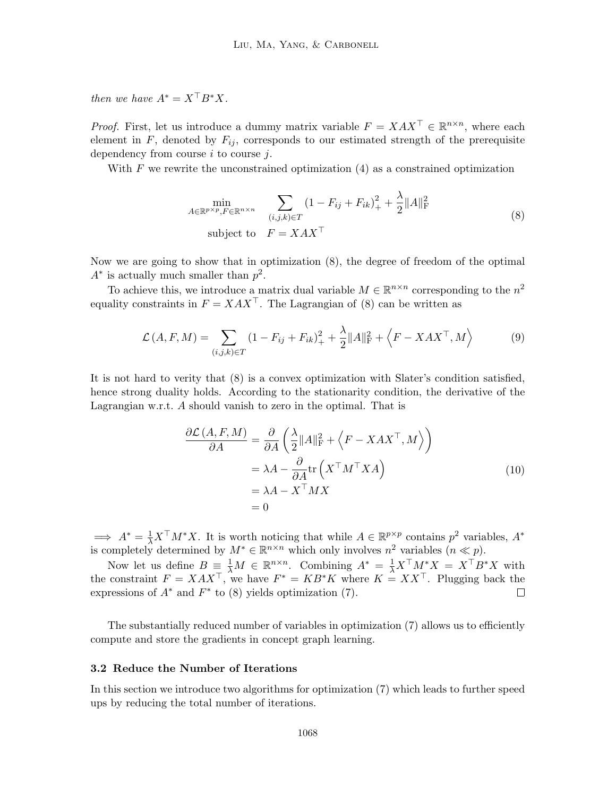then we have  $A^* = X^\top B^* X$ .

*Proof.* First, let us introduce a dummy matrix variable  $F = XAX^{\top} \in \mathbb{R}^{n \times n}$ , where each element in  $F$ , denoted by  $F_{ij}$ , corresponds to our estimated strength of the prerequisite dependency from course  $i$  to course  $j$ .

With  $F$  we rewrite the unconstrained optimization  $(4)$  as a constrained optimization

$$
\min_{A \in \mathbb{R}^{p \times p}, F \in \mathbb{R}^{n \times n}} \sum_{(i,j,k) \in T} (1 - F_{ij} + F_{ik})_+^2 + \frac{\lambda}{2} ||A||_F^2
$$
\nsubject to  $F = X A X^\top$  (8)

Now we are going to show that in optimization (8), the degree of freedom of the optimal  $A^*$  is actually much smaller than  $p^2$ .

To achieve this, we introduce a matrix dual variable  $M \in \mathbb{R}^{n \times n}$  corresponding to the  $n^2$ equality constraints in  $F = XAX^{\top}$ . The Lagrangian of (8) can be written as

$$
\mathcal{L}(A, F, M) = \sum_{(i,j,k)\in T} (1 - F_{ij} + F_{ik})_+^2 + \frac{\lambda}{2} ||A||_F^2 + \langle F - XAX^\top, M \rangle \tag{9}
$$

It is not hard to verity that (8) is a convex optimization with Slater's condition satisfied, hence strong duality holds. According to the stationarity condition, the derivative of the Lagrangian w.r.t. A should vanish to zero in the optimal. That is

$$
\frac{\partial \mathcal{L}(A, F, M)}{\partial A} = \frac{\partial}{\partial A} \left( \frac{\lambda}{2} \|A\|_{\text{F}}^2 + \left\langle F - XAX^\top, M \right\rangle \right)
$$

$$
= \lambda A - \frac{\partial}{\partial A} \text{tr} \left( X^\top M^\top X A \right)
$$

$$
= \lambda A - X^\top M X
$$

$$
= 0
$$
(10)

 $\implies A^* = \frac{1}{\lambda} X^\top M^* X$ . It is worth noticing that while  $A \in \mathbb{R}^{p \times p}$  contains  $p^2$  variables,  $A^*$ is completely determined by  $M^* \in \mathbb{R}^{n \times n}$  which only involves  $n^2$  variables  $(n \ll p)$ .

Now let us define  $B = \frac{1}{\lambda}M \in \mathbb{R}^{n \times n}$ . Combining  $A^* = \frac{1}{\lambda}X^{\top}M^*X = X^{\top}B^*X$  with the constraint  $F = XAX^{\top}$ , we have  $F^* = KB^*K$  where  $K = XX^{\top}$ . Plugging back the expressions of  $A^*$  and  $F^*$  to (8) yields optimization (7).  $\Box$ 

The substantially reduced number of variables in optimization (7) allows us to efficiently compute and store the gradients in concept graph learning.

# 3.2 Reduce the Number of Iterations

In this section we introduce two algorithms for optimization (7) which leads to further speed ups by reducing the total number of iterations.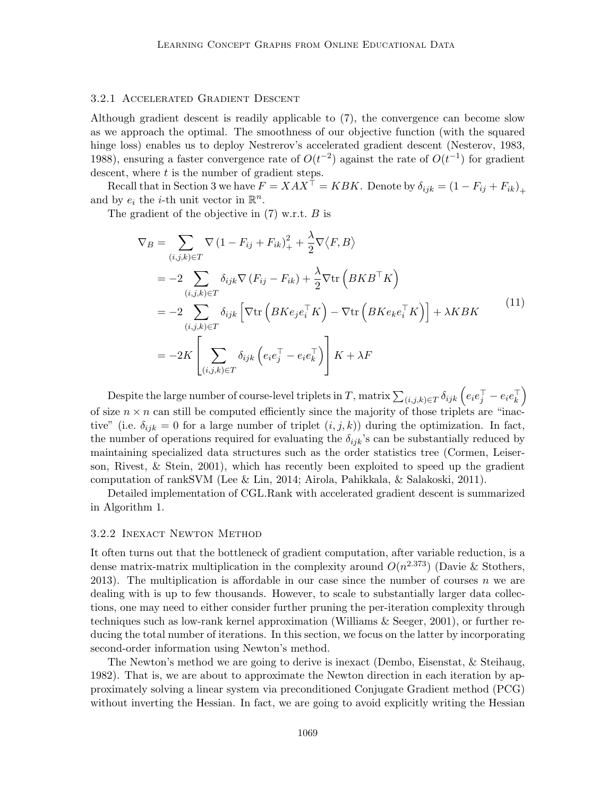### 3.2.1 Accelerated Gradient Descent

Although gradient descent is readily applicable to (7), the convergence can become slow as we approach the optimal. The smoothness of our objective function (with the squared hinge loss) enables us to deploy Nestrerov's accelerated gradient descent (Nesterov, 1983, 1988), ensuring a faster convergence rate of  $O(t^{-2})$  against the rate of  $O(t^{-1})$  for gradient descent, where  $t$  is the number of gradient steps.

Recall that in Section 3 we have  $F = XAX^{\top} = KBK$ . Denote by  $\delta_{ijk} = (1 - F_{ij} + F_{ik})_{+}$ and by  $e_i$  the *i*-th unit vector in  $\mathbb{R}^n$ .

The gradient of the objective in (7) w.r.t. B is

$$
\nabla_B = \sum_{(i,j,k)\in T} \nabla (1 - F_{ij} + F_{ik})_+^2 + \frac{\lambda}{2} \nabla \langle F, B \rangle
$$
  
\n
$$
= -2 \sum_{(i,j,k)\in T} \delta_{ijk} \nabla (F_{ij} - F_{ik}) + \frac{\lambda}{2} \nabla \text{tr} (BKB^\top K)
$$
  
\n
$$
= -2 \sum_{(i,j,k)\in T} \delta_{ijk} \left[ \nabla \text{tr} (BKe_j e_i^\top K) - \nabla \text{tr} (BKe_k e_i^\top K) \right] + \lambda KBK
$$
  
\n
$$
= -2K \left[ \sum_{(i,j,k)\in T} \delta_{ijk} \left( e_i e_j^\top - e_i e_k^\top \right) \right] K + \lambda F
$$
 (11)

Despite the large number of course-level triplets in T, matrix  $\sum_{(i,j,k)\in T}\delta_{ijk}\left(e_ie_j^\top - e_ie_k^\top\right)$ of size  $n \times n$  can still be computed efficiently since the majority of those triplets are "inactive" (i.e.  $\delta_{ijk} = 0$  for a large number of triplet  $(i, j, k)$ ) during the optimization. In fact, the number of operations required for evaluating the  $\delta_{ijk}$ 's can be substantially reduced by maintaining specialized data structures such as the order statistics tree (Cormen, Leiserson, Rivest, & Stein, 2001), which has recently been exploited to speed up the gradient computation of rankSVM (Lee & Lin, 2014; Airola, Pahikkala, & Salakoski, 2011).

Detailed implementation of CGL.Rank with accelerated gradient descent is summarized in Algorithm 1.

#### 3.2.2 Inexact Newton Method

It often turns out that the bottleneck of gradient computation, after variable reduction, is a dense matrix-matrix multiplication in the complexity around  $O(n^{2.373})$  (Davie & Stothers, 2013). The multiplication is affordable in our case since the number of courses  $n$  we are dealing with is up to few thousands. However, to scale to substantially larger data collections, one may need to either consider further pruning the per-iteration complexity through techniques such as low-rank kernel approximation (Williams & Seeger, 2001), or further reducing the total number of iterations. In this section, we focus on the latter by incorporating second-order information using Newton's method.

The Newton's method we are going to derive is inexact (Dembo, Eisenstat, & Steihaug, 1982). That is, we are about to approximate the Newton direction in each iteration by approximately solving a linear system via preconditioned Conjugate Gradient method (PCG) without inverting the Hessian. In fact, we are going to avoid explicitly writing the Hessian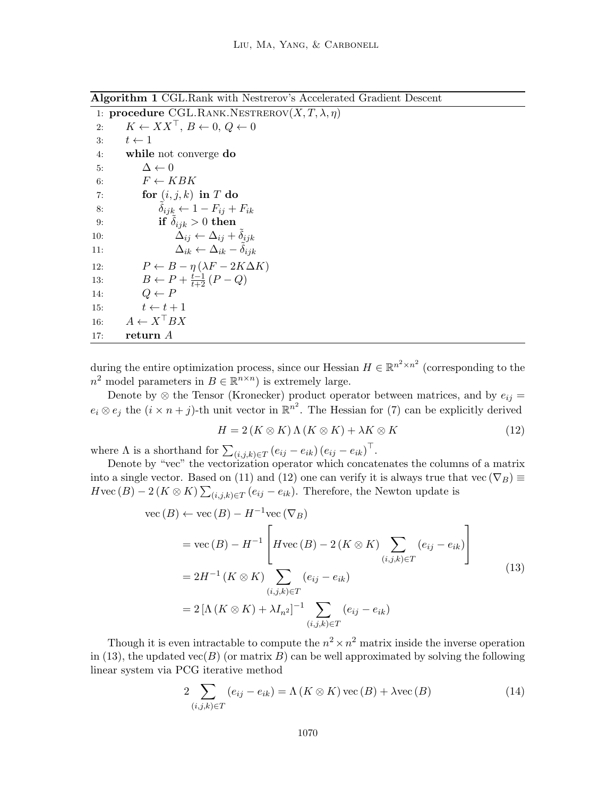Algorithm 1 CGL.Rank with Nestrerov's Accelerated Gradient Descent

1: procedure CGL.RANK.NESTREROV $(X, T, \lambda, \eta)$ 2:  $K \leftarrow XX^{\top}, B \leftarrow 0, Q \leftarrow 0$ 3:  $t \leftarrow 1$ 4: while not converge do 5:  $\Delta \leftarrow 0$ 6:  $F \leftarrow KBK$ 7: for  $(i, j, k)$  in T do 8:  $\delta_{ijk} \leftarrow 1 - F_{ij} + F_{ik}$ 9: if  $\tilde{\delta}_{ijk} > 0$  then 10:  $\Delta_{ij} \leftarrow \Delta_{ij} + \tilde{\delta}_{ijk}$ 11:  $\Delta_{ik} \leftarrow \Delta_{ik} - \tilde{\delta}_{ijk}$ 12:  $P \leftarrow B - \eta (\lambda F - 2K\Delta K)$ 13:  $B \leftarrow P + \frac{t-1}{t+2} (P - Q)$ 14:  $Q \leftarrow P$ 15:  $t \leftarrow t + 1$ 16:  $A \leftarrow X^{\top} BX$ 17: return A

during the entire optimization process, since our Hessian  $H \in \mathbb{R}^{n^2 \times n^2}$  (corresponding to the  $n^2$  model parameters in  $B \in \mathbb{R}^{n \times n}$  is extremely large.

Denote by  $\otimes$  the Tensor (Kronecker) product operator between matrices, and by  $e_{ij}$  =  $e_i \otimes e_j$  the  $(i \times n + j)$ -th unit vector in  $\mathbb{R}^{n^2}$ . The Hessian for (7) can be explicitly derived

$$
H = 2(K \otimes K) \Lambda (K \otimes K) + \lambda K \otimes K \tag{12}
$$

where  $\Lambda$  is a shorthand for  $\sum_{(i,j,k)\in T} (e_{ij} - e_{ik}) (e_{ij} - e_{ik})^\top$ .

Denote by "vec" the vectorization operator which concatenates the columns of a matrix into a single vector. Based on (11) and (12) one can verify it is always true that vec  $(\nabla_B) \equiv$  $H \text{vec}(B) - 2(K \otimes K) \sum_{(i,j,k) \in T} (e_{ij} - e_{ik}).$  Therefore, the Newton update is

$$
\begin{aligned}\n\text{vec}(B) &\leftarrow \text{vec}(B) - H^{-1}\text{vec}(\nabla_B) \\
&= \text{vec}(B) - H^{-1} \left[ H \text{vec}(B) - 2\left(K \otimes K\right) \sum_{(i,j,k) \in T} \left(e_{ij} - e_{ik}\right) \right] \\
&= 2H^{-1} \left(K \otimes K\right) \sum_{(i,j,k) \in T} \left(e_{ij} - e_{ik}\right) \\
&= 2\left[\Lambda \left(K \otimes K\right) + \lambda I_{n^2}\right]^{-1} \sum_{(i,j,k) \in T} \left(e_{ij} - e_{ik}\right)\n\end{aligned} \tag{13}
$$

Though it is even intractable to compute the  $n^2 \times n^2$  matrix inside the inverse operation in (13), the updated vec(B) (or matrix B) can be well approximated by solving the following linear system via PCG iterative method

$$
2\sum_{(i,j,k)\in T} (e_{ij} - e_{ik}) = \Lambda(K \otimes K) \operatorname{vec}(B) + \lambda \operatorname{vec}(B)
$$
\n(14)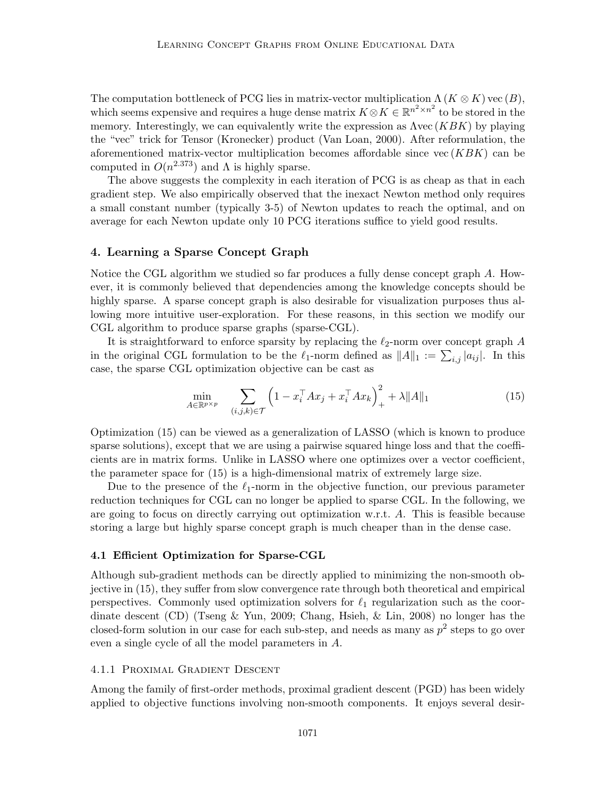The computation bottleneck of PCG lies in matrix-vector multiplication  $\Lambda(K \otimes K)$  vec  $(B)$ , which seems expensive and requires a huge dense matrix  $K \otimes K \in \mathbb{R}^{n^2 \times n^2}$  to be stored in the memory. Interestingly, we can equivalently write the expression as  $\Lambda$ vec  $(KBK)$  by playing the "vec" trick for Tensor (Kronecker) product (Van Loan, 2000). After reformulation, the aforementioned matrix-vector multiplication becomes affordable since  $vec(KBK)$  can be computed in  $O(n^{2.373})$  and  $\Lambda$  is highly sparse.

The above suggests the complexity in each iteration of PCG is as cheap as that in each gradient step. We also empirically observed that the inexact Newton method only requires a small constant number (typically 3-5) of Newton updates to reach the optimal, and on average for each Newton update only 10 PCG iterations suffice to yield good results.

# 4. Learning a Sparse Concept Graph

Notice the CGL algorithm we studied so far produces a fully dense concept graph A. However, it is commonly believed that dependencies among the knowledge concepts should be highly sparse. A sparse concept graph is also desirable for visualization purposes thus allowing more intuitive user-exploration. For these reasons, in this section we modify our CGL algorithm to produce sparse graphs (sparse-CGL).

It is straightforward to enforce sparsity by replacing the  $\ell_2$ -norm over concept graph A in the original CGL formulation to be the  $\ell_1$ -norm defined as  $||A||_1 := \sum_{i,j} |a_{ij}|$ . In this case, the sparse CGL optimization objective can be cast as

$$
\min_{A \in \mathbb{R}^{p \times p}} \quad \sum_{(i,j,k) \in \mathcal{T}} \left( 1 - x_i^\top A x_j + x_i^\top A x_k \right)_+^2 + \lambda \|A\|_1 \tag{15}
$$

Optimization (15) can be viewed as a generalization of LASSO (which is known to produce sparse solutions), except that we are using a pairwise squared hinge loss and that the coefficients are in matrix forms. Unlike in LASSO where one optimizes over a vector coefficient, the parameter space for (15) is a high-dimensional matrix of extremely large size.

Due to the presence of the  $\ell_1$ -norm in the objective function, our previous parameter reduction techniques for CGL can no longer be applied to sparse CGL. In the following, we are going to focus on directly carrying out optimization w.r.t. A. This is feasible because storing a large but highly sparse concept graph is much cheaper than in the dense case.

### 4.1 Efficient Optimization for Sparse-CGL

Although sub-gradient methods can be directly applied to minimizing the non-smooth objective in (15), they suffer from slow convergence rate through both theoretical and empirical perspectives. Commonly used optimization solvers for  $\ell_1$  regularization such as the coordinate descent (CD) (Tseng & Yun, 2009; Chang, Hsieh, & Lin, 2008) no longer has the closed-form solution in our case for each sub-step, and needs as many as  $p^2$  steps to go over even a single cycle of all the model parameters in A.

## 4.1.1 Proximal Gradient Descent

Among the family of first-order methods, proximal gradient descent (PGD) has been widely applied to objective functions involving non-smooth components. It enjoys several desir-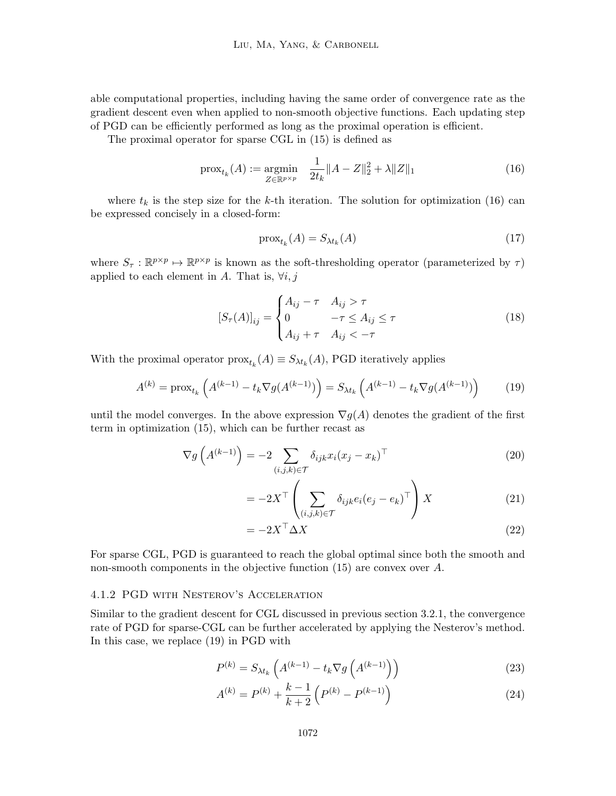able computational properties, including having the same order of convergence rate as the gradient descent even when applied to non-smooth objective functions. Each updating step of PGD can be efficiently performed as long as the proximal operation is efficient.

The proximal operator for sparse CGL in (15) is defined as

$$
\text{prox}_{t_k}(A) := \underset{Z \in \mathbb{R}^{p \times p}}{\text{argmin}} \quad \frac{1}{2t_k} \|A - Z\|_2^2 + \lambda \|Z\|_1 \tag{16}
$$

where  $t_k$  is the step size for the k-th iteration. The solution for optimization (16) can be expressed concisely in a closed-form:

$$
\text{prox}_{t_k}(A) = S_{\lambda t_k}(A) \tag{17}
$$

where  $S_{\tau}: \mathbb{R}^{p \times p} \mapsto \mathbb{R}^{p \times p}$  is known as the soft-thresholding operator (parameterized by  $\tau$ ) applied to each element in A. That is,  $\forall i, j$ 

$$
[S_{\tau}(A)]_{ij} = \begin{cases} A_{ij} - \tau & A_{ij} > \tau \\ 0 & -\tau \le A_{ij} \le \tau \\ A_{ij} + \tau & A_{ij} < -\tau \end{cases}
$$
(18)

With the proximal operator  $prox_{t_k}(A) \equiv S_{\lambda t_k}(A)$ , PGD iteratively applies

$$
A^{(k)} = \text{prox}_{t_k} \left( A^{(k-1)} - t_k \nabla g(A^{(k-1)}) \right) = S_{\lambda t_k} \left( A^{(k-1)} - t_k \nabla g(A^{(k-1)}) \right) \tag{19}
$$

until the model converges. In the above expression  $\nabla g(A)$  denotes the gradient of the first term in optimization (15), which can be further recast as

$$
\nabla g\left(A^{(k-1)}\right) = -2 \sum_{(i,j,k)\in\mathcal{T}} \delta_{ijk} x_i (x_j - x_k)^\top \tag{20}
$$

$$
= -2X^{\top} \left( \sum_{(i,j,k)\in\mathcal{T}} \delta_{ijk} e_i (e_j - e_k)^{\top} \right) X \tag{21}
$$

$$
= -2X^{\top} \Delta X \tag{22}
$$

For sparse CGL, PGD is guaranteed to reach the global optimal since both the smooth and non-smooth components in the objective function (15) are convex over A.

#### 4.1.2 PGD with Nesterov's Acceleration

Similar to the gradient descent for CGL discussed in previous section 3.2.1, the convergence rate of PGD for sparse-CGL can be further accelerated by applying the Nesterov's method. In this case, we replace (19) in PGD with

$$
P^{(k)} = S_{\lambda t_k} \left( A^{(k-1)} - t_k \nabla g \left( A^{(k-1)} \right) \right)
$$
 (23)

$$
A^{(k)} = P^{(k)} + \frac{k-1}{k+2} \left( P^{(k)} - P^{(k-1)} \right)
$$
 (24)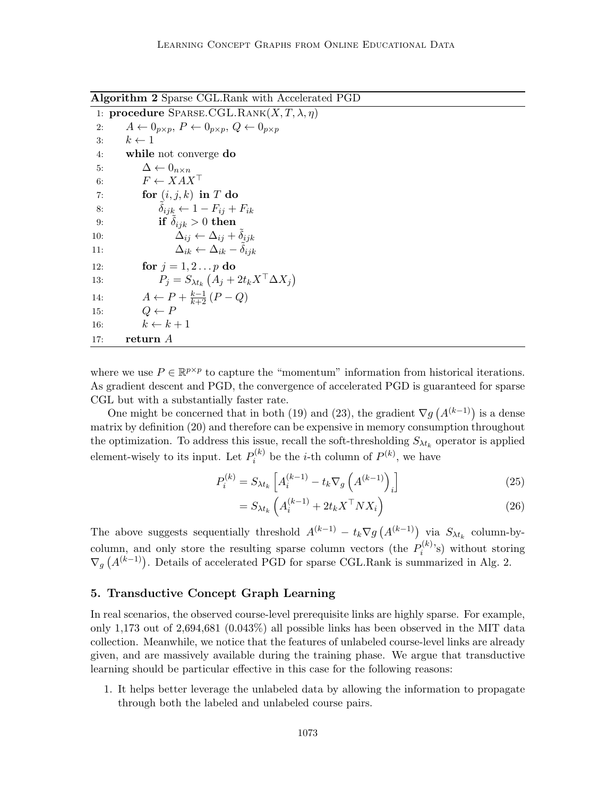Algorithm 2 Sparse CGL.Rank with Accelerated PGD

|     | 1: procedure SPARSE.CGL.RANK $(X, T, \lambda, \eta)$                                    |
|-----|-----------------------------------------------------------------------------------------|
| 2:  | $A \leftarrow 0_{p \times p}, P \leftarrow 0_{p \times p}, Q \leftarrow 0_{p \times p}$ |
| 3:  | $k \leftarrow 1$                                                                        |
| 4:  | while not converge do                                                                   |
| 5:  | $\Delta \leftarrow 0_{n \times n}$                                                      |
| 6:  | $F \leftarrow XAX^{\top}$                                                               |
| 7:  | for $(i, j, k)$ in T do                                                                 |
| 8:  | $\delta_{ijk} \leftarrow 1 - F_{ij} + F_{ik}$                                           |
| 9:  | if $\delta_{ijk} > 0$ then                                                              |
| 10: | $\Delta_{ij} \leftarrow \Delta_{ij} + \delta_{ijk}$                                     |
| 11: | $\Delta_{ik} \leftarrow \Delta_{ik} - \delta_{iik}$                                     |
| 12: | for $j = 1, 2 \ldots p$ do                                                              |
| 13: | $P_i = S_{\lambda t_k} \left( A_i + 2t_k X^\top \Delta X_i \right)$                     |
| 14: | $A \leftarrow P + \frac{k-1}{k+2} (P - Q)$                                              |
| 15: | $Q \leftarrow P$                                                                        |
| 16: | $k \leftarrow k+1$                                                                      |
| 17: | return A                                                                                |

where we use  $P \in \mathbb{R}^{p \times p}$  to capture the "momentum" information from historical iterations. As gradient descent and PGD, the convergence of accelerated PGD is guaranteed for sparse CGL but with a substantially faster rate.

One might be concerned that in both (19) and (23), the gradient  $\nabla g$   $(A^{(k-1)})$  is a dense matrix by definition (20) and therefore can be expensive in memory consumption throughout the optimization. To address this issue, recall the soft-thresholding  $S_{\lambda t_k}$  operator is applied element-wisely to its input. Let  $P_i^{(k)}$  $i^{(k)}$  be the *i*-th column of  $P^{(k)}$ , we have

$$
P_i^{(k)} = S_{\lambda t_k} \left[ A_i^{(k-1)} - t_k \nabla_g \left( A^{(k-1)} \right)_i \right] \tag{25}
$$

$$
= S_{\lambda t_k} \left( A_i^{(k-1)} + 2t_k X^\top N X_i \right) \tag{26}
$$

The above suggests sequentially threshold  $A^{(k-1)} - t_k \nabla g (A^{(k-1)})$  via  $S_{\lambda t_k}$  column-bycolumn, and only store the resulting sparse column vectors (the  $P_i^{(k)}$  $\mathbf{e}_i^{(\kappa)}$ 's) without storing  $\nabla_g\left(A^{(k-1)}\right)$ . Details of accelerated PGD for sparse CGL.Rank is summarized in Alg. 2.

### 5. Transductive Concept Graph Learning

In real scenarios, the observed course-level prerequisite links are highly sparse. For example, only 1,173 out of 2,694,681 (0.043%) all possible links has been observed in the MIT data collection. Meanwhile, we notice that the features of unlabeled course-level links are already given, and are massively available during the training phase. We argue that transductive learning should be particular effective in this case for the following reasons:

1. It helps better leverage the unlabeled data by allowing the information to propagate through both the labeled and unlabeled course pairs.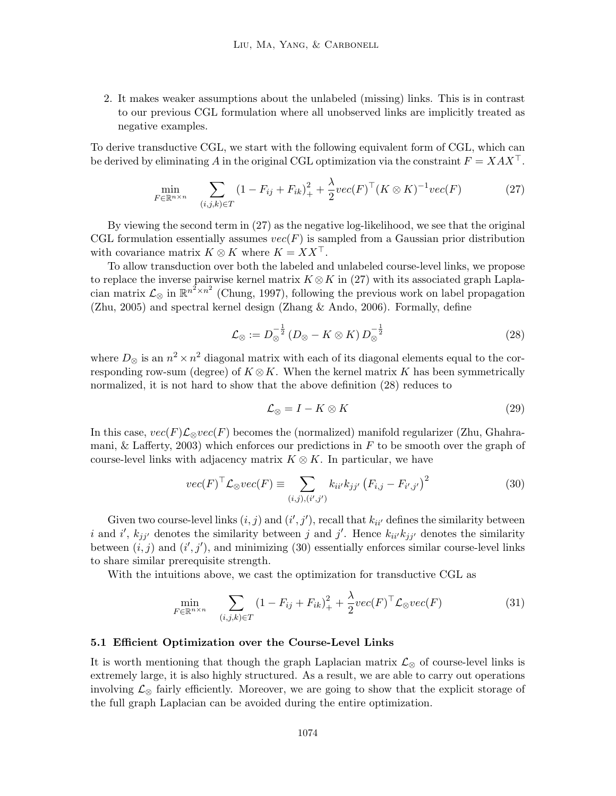2. It makes weaker assumptions about the unlabeled (missing) links. This is in contrast to our previous CGL formulation where all unobserved links are implicitly treated as negative examples.

To derive transductive CGL, we start with the following equivalent form of CGL, which can be derived by eliminating A in the original CGL optimization via the constraint  $F = XAX^{\top}$ .

$$
\min_{F \in \mathbb{R}^{n \times n}} \quad \sum_{(i,j,k) \in T} (1 - F_{ij} + F_{ik})_+^2 + \frac{\lambda}{2} vec(F)^\top (K \otimes K)^{-1} vec(F) \tag{27}
$$

By viewing the second term in (27) as the negative log-likelihood, we see that the original CGL formulation essentially assumes  $vec(F)$  is sampled from a Gaussian prior distribution with covariance matrix  $K \otimes K$  where  $K = XX^{\top}$ .

To allow transduction over both the labeled and unlabeled course-level links, we propose to replace the inverse pairwise kernel matrix  $K \otimes K$  in (27) with its associated graph Laplacian matrix  $\mathcal{L}_{\otimes}$  in  $\mathbb{R}^{n^2 \times n^2}$  (Chung, 1997), following the previous work on label propagation (Zhu, 2005) and spectral kernel design (Zhang & Ando, 2006). Formally, define

$$
\mathcal{L}_{\otimes} := D_{\otimes}^{-\frac{1}{2}} \left( D_{\otimes} - K \otimes K \right) D_{\otimes}^{-\frac{1}{2}} \tag{28}
$$

where  $D_{\otimes}$  is an  $n^2 \times n^2$  diagonal matrix with each of its diagonal elements equal to the corresponding row-sum (degree) of  $K \otimes K$ . When the kernel matrix K has been symmetrically normalized, it is not hard to show that the above definition (28) reduces to

$$
\mathcal{L}_{\otimes} = I - K \otimes K \tag{29}
$$

In this case,  $vec(F)\mathcal{L}_{\otimes}vec(F)$  becomes the (normalized) manifold regularizer (Zhu, Ghahramani, & Lafferty, 2003) which enforces our predictions in  $F$  to be smooth over the graph of course-level links with adjacency matrix  $K \otimes K$ . In particular, we have

$$
vec(F)^{\top} \mathcal{L}_{\otimes} vec(F) \equiv \sum_{(i,j),(i',j')} k_{ii'} k_{jj'} (F_{i,j} - F_{i',j'})^2
$$
 (30)

Given two course-level links  $(i, j)$  and  $(i', j')$ , recall that  $k_{ii'}$  defines the similarity between i and i',  $k_{jj'}$  denotes the similarity between j and j'. Hence  $k_{ii'}k_{jj'}$  denotes the similarity between  $(i, j)$  and  $(i', j')$ , and minimizing (30) essentially enforces similar course-level links to share similar prerequisite strength.

With the intuitions above, we cast the optimization for transductive CGL as

$$
\min_{F \in \mathbb{R}^{n \times n}} \quad \sum_{(i,j,k) \in T} (1 - F_{ij} + F_{ik})_+^2 + \frac{\lambda}{2} \text{vec}(F)^\top \mathcal{L}_{\otimes} \text{vec}(F) \tag{31}
$$

#### 5.1 Efficient Optimization over the Course-Level Links

It is worth mentioning that though the graph Laplacian matrix  $\mathcal{L}_{\otimes}$  of course-level links is extremely large, it is also highly structured. As a result, we are able to carry out operations involving  $\mathcal{L}_{\otimes}$  fairly efficiently. Moreover, we are going to show that the explicit storage of the full graph Laplacian can be avoided during the entire optimization.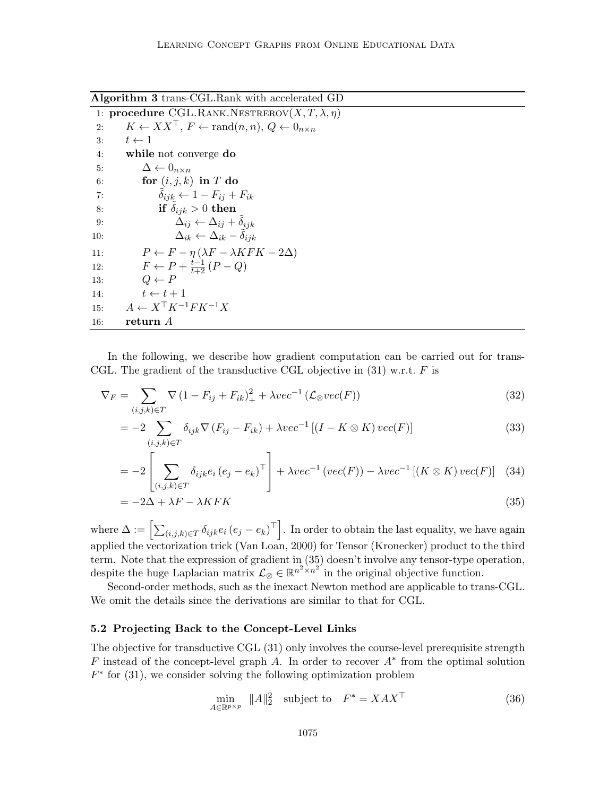Algorithm 3 trans-CGL.Rank with accelerated GD

|     | 1: <b>procedure</b> CGL.RANK.NESTREROV $(X, T, \lambda, \eta)$                        |
|-----|---------------------------------------------------------------------------------------|
| 2:  | $K \leftarrow XX^{\top}, F \leftarrow \text{rand}(n, n), Q \leftarrow 0_{n \times n}$ |
| 3:  | $t \leftarrow 1$                                                                      |
| 4:  | while not converge do                                                                 |
| 5:  | $\Delta \leftarrow 0_{n \times n}$                                                    |
| 6:  | for $(i, j, k)$ in T do                                                               |
| 7:  | $\delta_{ijk} \leftarrow 1 - F_{ij} + F_{ik}$                                         |
| 8:  | if $\delta_{ijk} > 0$ then                                                            |
| 9:  | $\Delta_{ij} \leftarrow \Delta_{ij} + \delta_{ijk}$                                   |
| 10: | $\Delta_{ik} \leftarrow \Delta_{ik} - \delta_{iik}$                                   |
| 11: | $P \leftarrow F - \eta (\lambda F - \lambda K F K - 2\Delta)$                         |
| 12: | $F \leftarrow P + \frac{t-1}{t+2} (P - Q)$                                            |
| 13: | $Q \leftarrow P$                                                                      |
| 14: | $t \leftarrow t + 1$                                                                  |
| 15: | $A \leftarrow X^{\top} K^{-1} F K^{-1} X$                                             |
| 16: | return A                                                                              |
|     |                                                                                       |

In the following, we describe how gradient computation can be carried out for trans-CGL. The gradient of the transductive CGL objective in  $(31)$  w.r.t. F is

$$
\nabla_F = \sum_{(i,j,k)\in T} \nabla \left(1 - F_{ij} + F_{ik}\right)_+^2 + \lambda vec^{-1} \left(\mathcal{L}_{\otimes} vec(F)\right) \tag{32}
$$

$$
= -2 \sum_{(i,j,k)\in T} \delta_{ijk} \nabla (F_{ij} - F_{ik}) + \lambda vec^{-1} \left[ (I - K \otimes K) vec(F) \right]
$$
\n(33)

$$
= -2 \left[ \sum_{(i,j,k)\in T} \delta_{ijk} e_i (e_j - e_k)^\top \right] + \lambda vec^{-1} (vec(F)) - \lambda vec^{-1} [(K \otimes K) vec(F)] \quad (34)
$$

$$
= -2\Delta + \lambda F - \lambda KFK \tag{35}
$$

where  $\Delta := \left[ \sum_{(i,j,k) \in T} \delta_{ijk} e_i (e_j - e_k)^\top \right]$ . In order to obtain the last equality, we have again applied the vectorization trick (Van Loan, 2000) for Tensor (Kronecker) product to the third term. Note that the expression of gradient in (35) doesn't involve any tensor-type operation, despite the huge Laplacian matrix  $\mathcal{L}_{\otimes} \in \mathbb{R}^{n^2 \times n^2}$  in the original objective function.

Second-order methods, such as the inexact Newton method are applicable to trans-CGL. We omit the details since the derivations are similar to that for CGL.

# 5.2 Projecting Back to the Concept-Level Links

The objective for transductive CGL (31) only involves the course-level prerequisite strength F instead of the concept-level graph A. In order to recover  $A^*$  from the optimal solution  $F^*$  for (31), we consider solving the following optimization problem

$$
\min_{A \in \mathbb{R}^{p \times p}} \|A\|_2^2 \quad \text{subject to} \quad F^* = XAX^\top \tag{36}
$$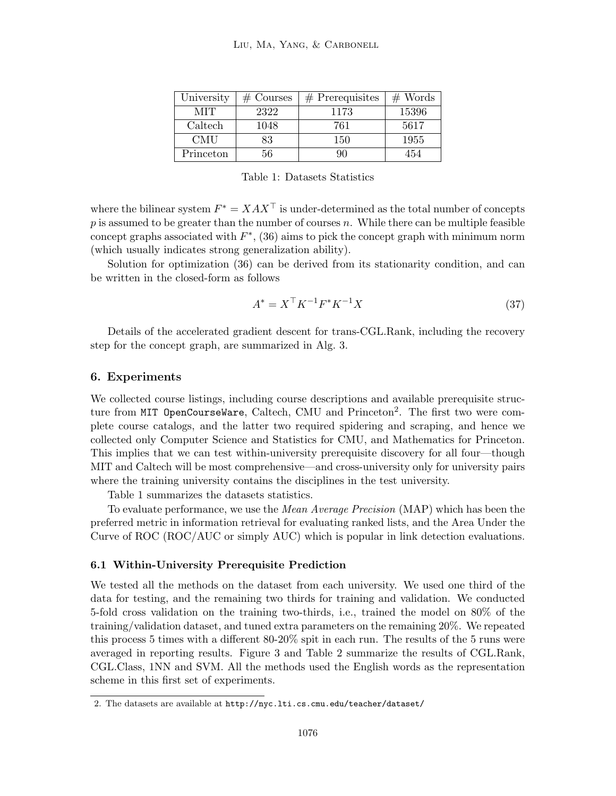| University | $#$ Courses | $#$ Prerequisites | $#$ Words |
|------------|-------------|-------------------|-----------|
| MIT        | 2322        | 1173              | 15396     |
| Caltech    | 1048        | 761               | 5617      |
| <b>CMU</b> | 83          | 150               | 1955      |
| Princeton  | 56          |                   | 454       |

Table 1: Datasets Statistics

where the bilinear system  $F^* = XAX^\top$  is under-determined as the total number of concepts p is assumed to be greater than the number of courses n. While there can be multiple feasible concept graphs associated with  $F^*$ , (36) aims to pick the concept graph with minimum norm (which usually indicates strong generalization ability).

Solution for optimization (36) can be derived from its stationarity condition, and can be written in the closed-form as follows

$$
A^* = X^\top K^{-1} F^* K^{-1} X \tag{37}
$$

Details of the accelerated gradient descent for trans-CGL.Rank, including the recovery step for the concept graph, are summarized in Alg. 3.

## 6. Experiments

We collected course listings, including course descriptions and available prerequisite structure from MIT OpenCourseWare, Caltech, CMU and Princeton<sup>2</sup>. The first two were complete course catalogs, and the latter two required spidering and scraping, and hence we collected only Computer Science and Statistics for CMU, and Mathematics for Princeton. This implies that we can test within-university prerequisite discovery for all four—though MIT and Caltech will be most comprehensive—and cross-university only for university pairs where the training university contains the disciplines in the test university.

Table 1 summarizes the datasets statistics.

To evaluate performance, we use the Mean Average Precision (MAP) which has been the preferred metric in information retrieval for evaluating ranked lists, and the Area Under the Curve of ROC (ROC/AUC or simply AUC) which is popular in link detection evaluations.

### 6.1 Within-University Prerequisite Prediction

We tested all the methods on the dataset from each university. We used one third of the data for testing, and the remaining two thirds for training and validation. We conducted 5-fold cross validation on the training two-thirds, i.e., trained the model on 80% of the training/validation dataset, and tuned extra parameters on the remaining 20%. We repeated this process 5 times with a different 80-20% spit in each run. The results of the 5 runs were averaged in reporting results. Figure 3 and Table 2 summarize the results of CGL.Rank, CGL.Class, 1NN and SVM. All the methods used the English words as the representation scheme in this first set of experiments.

<sup>2.</sup> The datasets are available at http://nyc.lti.cs.cmu.edu/teacher/dataset/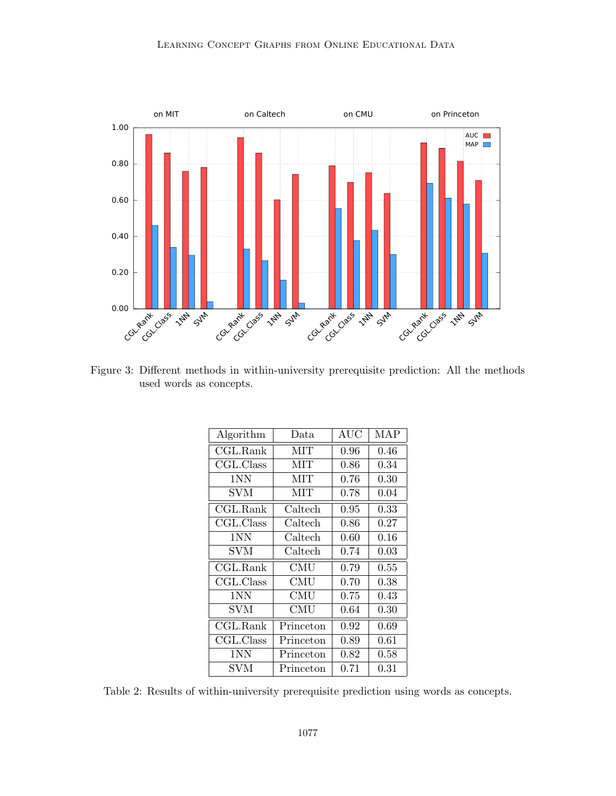

Figure 3: Different methods in within-university prerequisite prediction: All the methods used words as concepts.

| Algorithm                     | Data                        | <b>AUC</b> | MAP        |  |
|-------------------------------|-----------------------------|------------|------------|--|
| CGL.Rank                      | <b>MIT</b>                  | 0.96       | 0.46       |  |
| CGL.Class                     | MIT                         | 0.86       | 0.34       |  |
| 1NN                           | MІT                         | 0.76       | 0.30       |  |
| SVM                           | MIT                         | 0.78       | 0.04       |  |
| CGL.Rank                      | Caltech                     | 0.95       | 0.33       |  |
| CGL.Class                     | Caltech                     | 0.86       | 0.27       |  |
| 1NN                           | Caltech                     | 0.60       | 0.16       |  |
| SVM                           | Caltech                     | 0.74       | 0.03       |  |
| $\overline{\text{CGL}}$ .Rank | $\mathop{\rm CMU}\nolimits$ | 0.79       | 0.55       |  |
| CGL.Class                     | <b>CMU</b>                  | 0.70       | 0.38       |  |
| 1NN                           | CMU                         | 0.75       | 0.43       |  |
| <b>SVM</b>                    | CMU                         | 0.64       | $\rm 0.30$ |  |
| CGL.Rank                      | Princeton                   | 0.92       | 0.69       |  |
| CGL.Class                     | Princeton                   | 0.89       | 0.61       |  |
| 1NN                           | Princeton                   | 0.82       | 0.58       |  |
| SVM                           | Princeton                   | 0.71       | 0.31       |  |

Table 2: Results of within-university prerequisite prediction using words as concepts.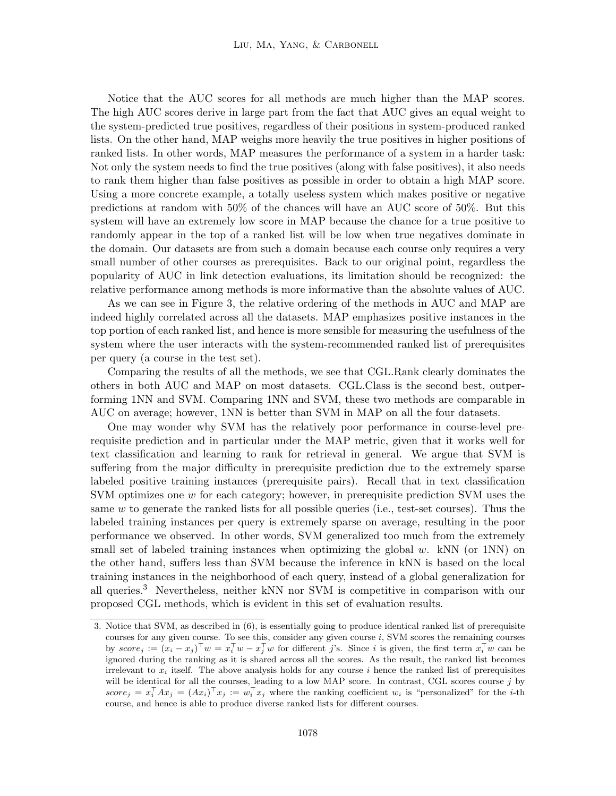Notice that the AUC scores for all methods are much higher than the MAP scores. The high AUC scores derive in large part from the fact that AUC gives an equal weight to the system-predicted true positives, regardless of their positions in system-produced ranked lists. On the other hand, MAP weighs more heavily the true positives in higher positions of ranked lists. In other words, MAP measures the performance of a system in a harder task: Not only the system needs to find the true positives (along with false positives), it also needs to rank them higher than false positives as possible in order to obtain a high MAP score. Using a more concrete example, a totally useless system which makes positive or negative predictions at random with 50% of the chances will have an AUC score of 50%. But this system will have an extremely low score in MAP because the chance for a true positive to randomly appear in the top of a ranked list will be low when true negatives dominate in the domain. Our datasets are from such a domain because each course only requires a very small number of other courses as prerequisites. Back to our original point, regardless the popularity of AUC in link detection evaluations, its limitation should be recognized: the relative performance among methods is more informative than the absolute values of AUC.

As we can see in Figure 3, the relative ordering of the methods in AUC and MAP are indeed highly correlated across all the datasets. MAP emphasizes positive instances in the top portion of each ranked list, and hence is more sensible for measuring the usefulness of the system where the user interacts with the system-recommended ranked list of prerequisites per query (a course in the test set).

Comparing the results of all the methods, we see that CGL.Rank clearly dominates the others in both AUC and MAP on most datasets. CGL.Class is the second best, outperforming 1NN and SVM. Comparing 1NN and SVM, these two methods are comparable in AUC on average; however, 1NN is better than SVM in MAP on all the four datasets.

One may wonder why SVM has the relatively poor performance in course-level prerequisite prediction and in particular under the MAP metric, given that it works well for text classification and learning to rank for retrieval in general. We argue that SVM is suffering from the major difficulty in prerequisite prediction due to the extremely sparse labeled positive training instances (prerequisite pairs). Recall that in text classification SVM optimizes one w for each category; however, in prerequisite prediction SVM uses the same w to generate the ranked lists for all possible queries (i.e., test-set courses). Thus the labeled training instances per query is extremely sparse on average, resulting in the poor performance we observed. In other words, SVM generalized too much from the extremely small set of labeled training instances when optimizing the global  $w$ . kNN (or 1NN) on the other hand, suffers less than SVM because the inference in kNN is based on the local training instances in the neighborhood of each query, instead of a global generalization for all queries.<sup>3</sup> Nevertheless, neither kNN nor SVM is competitive in comparison with our proposed CGL methods, which is evident in this set of evaluation results.

<sup>3.</sup> Notice that SVM, as described in (6), is essentially going to produce identical ranked list of prerequisite courses for any given course. To see this, consider any given course  $i$ , SVM scores the remaining courses by  $score_j := (x_i - x_j)^{\top} w = x_i^{\top} w - x_j^{\top} w$  for different j's. Since i is given, the first term  $x_i^{\top} w$  can be ignored during the ranking as it is shared across all the scores. As the result, the ranked list becomes irrelevant to  $x_i$  itself. The above analysis holds for any course i hence the ranked list of prerequisites will be identical for all the courses, leading to a low MAP score. In contrast, CGL scores course  $j$  by  $score_j = x_i^{\top} A x_j = (Ax_i)^{\top} x_j := w_i^{\top} x_j$  where the ranking coefficient  $w_i$  is "personalized" for the *i*-th course, and hence is able to produce diverse ranked lists for different courses.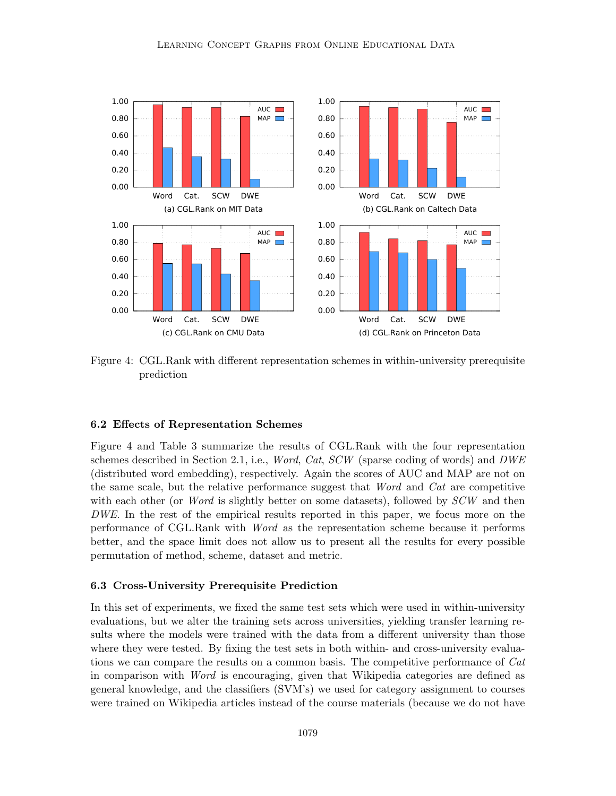

Figure 4: CGL.Rank with different representation schemes in within-university prerequisite prediction

### 6.2 Effects of Representation Schemes

Figure 4 and Table 3 summarize the results of CGL.Rank with the four representation schemes described in Section 2.1, i.e., *Word, Cat, SCW* (sparse coding of words) and  $DWE$ (distributed word embedding), respectively. Again the scores of AUC and MAP are not on the same scale, but the relative performance suggest that Word and Cat are competitive with each other (or *Word* is slightly better on some datasets), followed by  $SCW$  and then DWE. In the rest of the empirical results reported in this paper, we focus more on the performance of CGL.Rank with Word as the representation scheme because it performs better, and the space limit does not allow us to present all the results for every possible permutation of method, scheme, dataset and metric.

### 6.3 Cross-University Prerequisite Prediction

In this set of experiments, we fixed the same test sets which were used in within-university evaluations, but we alter the training sets across universities, yielding transfer learning results where the models were trained with the data from a different university than those where they were tested. By fixing the test sets in both within- and cross-university evaluations we can compare the results on a common basis. The competitive performance of Cat in comparison with Word is encouraging, given that Wikipedia categories are defined as general knowledge, and the classifiers (SVM's) we used for category assignment to courses were trained on Wikipedia articles instead of the course materials (because we do not have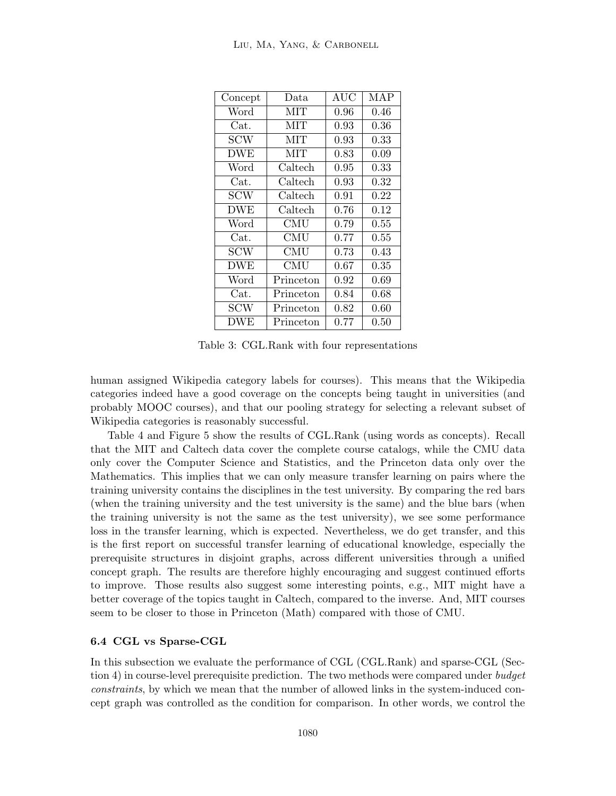| Concept    | Data       | AUC  | <b>MAP</b> |
|------------|------------|------|------------|
| Word       | <b>MIT</b> | 0.96 | 0.46       |
| Cat.       | <b>MIT</b> | 0.93 | 0.36       |
| <b>SCW</b> | <b>MIT</b> | 0.93 | 0.33       |
| <b>DWE</b> | <b>MIT</b> | 0.83 | 0.09       |
| Word       | Caltech    | 0.95 | 0.33       |
| Cat.       | Caltech    | 0.93 | 0.32       |
| <b>SCW</b> | Caltech    | 0.91 | 0.22       |
| <b>DWE</b> | Caltech    | 0.76 | 0.12       |
| Word       | CMU        | 0.79 | 0.55       |
| Cat.       | <b>CMU</b> | 0.77 | 0.55       |
| <b>SCW</b> | CMU        | 0.73 | 0.43       |
| <b>DWE</b> | CMU        | 0.67 | 0.35       |
| Word       | Princeton  | 0.92 | 0.69       |
| Cat.       | Princeton  | 0.84 | 0.68       |
| <b>SCW</b> | Princeton  | 0.82 | 0.60       |
| DWE        | Princeton  | 0.77 | 0.50       |

Table 3: CGL.Rank with four representations

human assigned Wikipedia category labels for courses). This means that the Wikipedia categories indeed have a good coverage on the concepts being taught in universities (and probably MOOC courses), and that our pooling strategy for selecting a relevant subset of Wikipedia categories is reasonably successful.

Table 4 and Figure 5 show the results of CGL.Rank (using words as concepts). Recall that the MIT and Caltech data cover the complete course catalogs, while the CMU data only cover the Computer Science and Statistics, and the Princeton data only over the Mathematics. This implies that we can only measure transfer learning on pairs where the training university contains the disciplines in the test university. By comparing the red bars (when the training university and the test university is the same) and the blue bars (when the training university is not the same as the test university), we see some performance loss in the transfer learning, which is expected. Nevertheless, we do get transfer, and this is the first report on successful transfer learning of educational knowledge, especially the prerequisite structures in disjoint graphs, across different universities through a unified concept graph. The results are therefore highly encouraging and suggest continued efforts to improve. Those results also suggest some interesting points, e.g., MIT might have a better coverage of the topics taught in Caltech, compared to the inverse. And, MIT courses seem to be closer to those in Princeton (Math) compared with those of CMU.

# 6.4 CGL vs Sparse-CGL

In this subsection we evaluate the performance of CGL (CGL.Rank) and sparse-CGL (Section 4) in course-level prerequisite prediction. The two methods were compared under budget constraints, by which we mean that the number of allowed links in the system-induced concept graph was controlled as the condition for comparison. In other words, we control the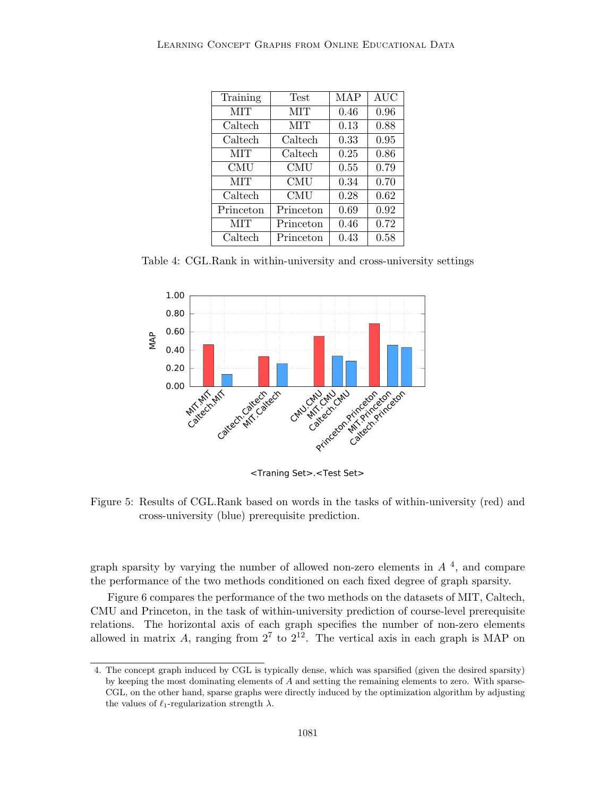| Training   | Test       | MAP  | <b>AUC</b> |
|------------|------------|------|------------|
| MIT        | MIT        | 0.46 | 0.96       |
| Caltech    | MIT        | 0.13 | 0.88       |
| Caltech    | Caltech    | 0.33 | 0.95       |
| MIT        | Caltech    | 0.25 | 0.86       |
| <b>CMU</b> | CMU        | 0.55 | 0.79       |
| MIT        | <b>CMU</b> | 0.34 | 0.70       |
| Caltech    | CMU        | 0.28 | 0.62       |
| Princeton  | Princeton  | 0.69 | 0.92       |
| МIТ        | Princeton  | 0.46 | 0.72       |
| Caltech    | Princeton  | 0.43 | 0.58       |

Table 4: CGL.Rank in within-university and cross-university settings



<Traning Set>.<Test Set>

Figure 5: Results of CGL.Rank based on words in the tasks of within-university (red) and cross-university (blue) prerequisite prediction.

graph sparsity by varying the number of allowed non-zero elements in  $A<sup>4</sup>$ , and compare the performance of the two methods conditioned on each fixed degree of graph sparsity.

Figure 6 compares the performance of the two methods on the datasets of MIT, Caltech, CMU and Princeton, in the task of within-university prediction of course-level prerequisite relations. The horizontal axis of each graph specifies the number of non-zero elements allowed in matrix A, ranging from  $2^7$  to  $2^{12}$ . The vertical axis in each graph is MAP on

<sup>4.</sup> The concept graph induced by CGL is typically dense, which was sparsified (given the desired sparsity) by keeping the most dominating elements of A and setting the remaining elements to zero. With sparse-CGL, on the other hand, sparse graphs were directly induced by the optimization algorithm by adjusting the values of  $\ell_1$ -regularization strength  $\lambda$ .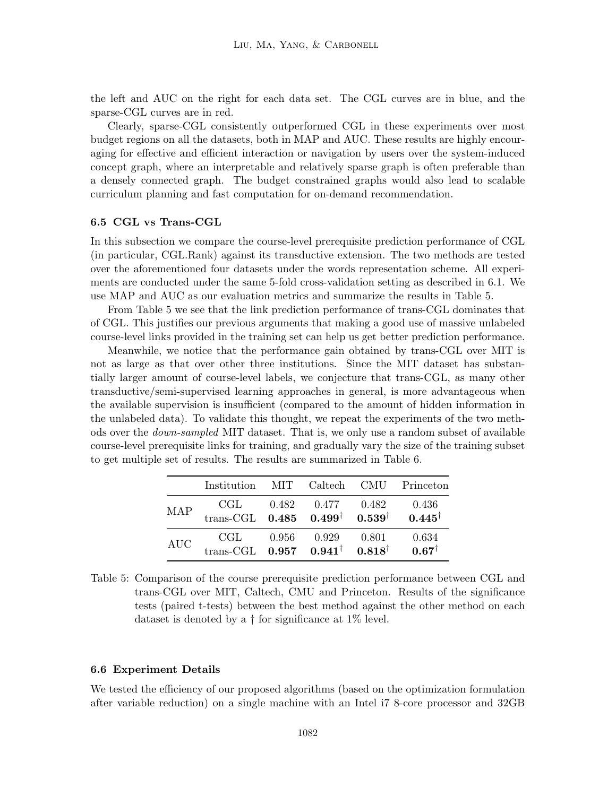the left and AUC on the right for each data set. The CGL curves are in blue, and the sparse-CGL curves are in red.

Clearly, sparse-CGL consistently outperformed CGL in these experiments over most budget regions on all the datasets, both in MAP and AUC. These results are highly encouraging for effective and efficient interaction or navigation by users over the system-induced concept graph, where an interpretable and relatively sparse graph is often preferable than a densely connected graph. The budget constrained graphs would also lead to scalable curriculum planning and fast computation for on-demand recommendation.

# 6.5 CGL vs Trans-CGL

In this subsection we compare the course-level prerequisite prediction performance of CGL (in particular, CGL.Rank) against its transductive extension. The two methods are tested over the aforementioned four datasets under the words representation scheme. All experiments are conducted under the same 5-fold cross-validation setting as described in 6.1. We use MAP and AUC as our evaluation metrics and summarize the results in Table 5.

From Table 5 we see that the link prediction performance of trans-CGL dominates that of CGL. This justifies our previous arguments that making a good use of massive unlabeled course-level links provided in the training set can help us get better prediction performance.

Meanwhile, we notice that the performance gain obtained by trans-CGL over MIT is not as large as that over other three institutions. Since the MIT dataset has substantially larger amount of course-level labels, we conjecture that trans-CGL, as many other transductive/semi-supervised learning approaches in general, is more advantageous when the available supervision is insufficient (compared to the amount of hidden information in the unlabeled data). To validate this thought, we repeat the experiments of the two methods over the down-sampled MIT dataset. That is, we only use a random subset of available course-level prerequisite links for training, and gradually vary the size of the training subset to get multiple set of results. The results are summarized in Table 6.

|            | Institution MIT Caltech CMU Princeton                                                           |           |                         |       |                           |
|------------|-------------------------------------------------------------------------------------------------|-----------|-------------------------|-------|---------------------------|
| <b>MAP</b> | $\operatorname{CGL}$<br>trans-CGL $0.485$ $0.499^{\dagger}$ $0.539^{\dagger}$ $0.445^{\dagger}$ |           | $0.482$ $0.477$ $0.482$ |       | 0.436                     |
| <b>AUC</b> | $\operatorname{CGL}$<br>trans-CGL $0.957$ $0.941^{\dagger}$ $0.818^{\dagger}$                   | $0.956\,$ | 0.929                   | 0.801 | 0.634<br>$0.67^{\dagger}$ |

Table 5: Comparison of the course prerequisite prediction performance between CGL and trans-CGL over MIT, Caltech, CMU and Princeton. Results of the significance tests (paired t-tests) between the best method against the other method on each dataset is denoted by a  $\dagger$  for significance at 1% level.

## 6.6 Experiment Details

We tested the efficiency of our proposed algorithms (based on the optimization formulation after variable reduction) on a single machine with an Intel i7 8-core processor and 32GB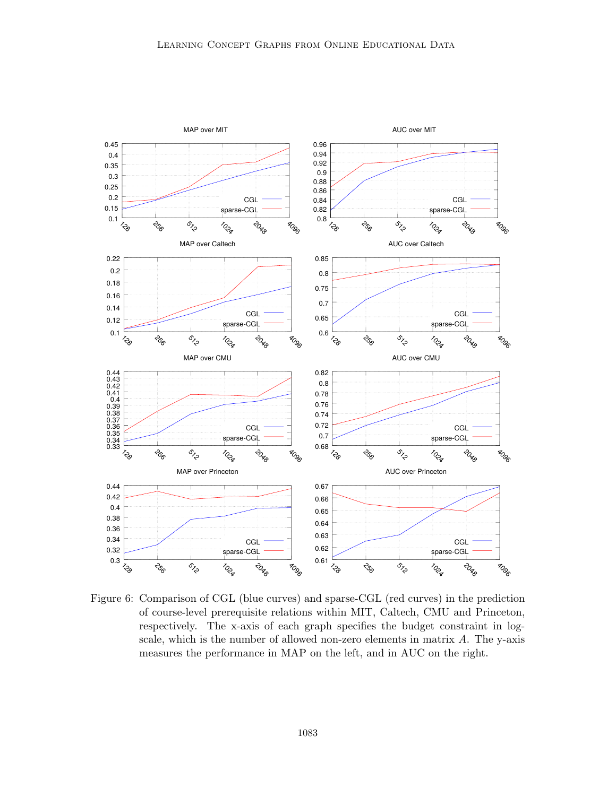

Figure 6: Comparison of CGL (blue curves) and sparse-CGL (red curves) in the prediction of course-level prerequisite relations within MIT, Caltech, CMU and Princeton, respectively. The x-axis of each graph specifies the budget constraint in logscale, which is the number of allowed non-zero elements in matrix  $A$ . The y-axis measures the performance in MAP on the left, and in AUC on the right.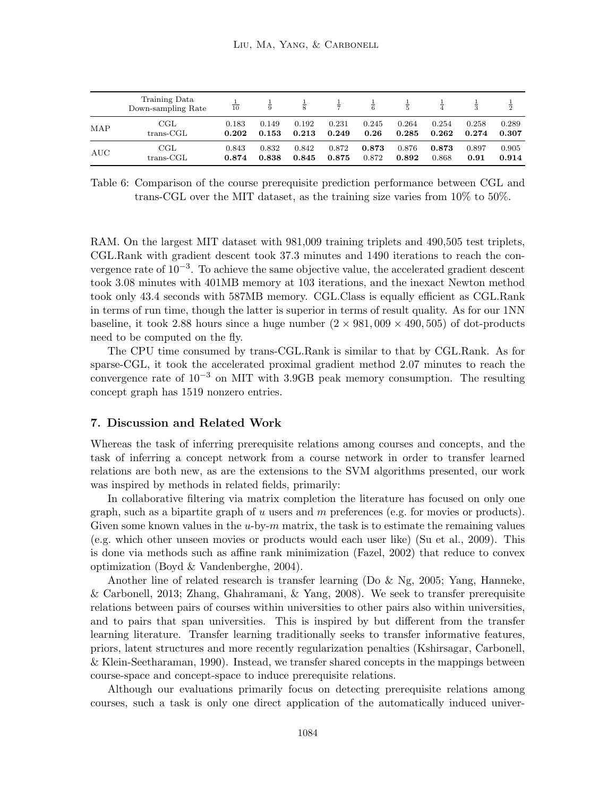|            | Training Data<br>Down-sampling Rate | $rac{1}{10}$ | $\frac{1}{9}$ | $\frac{1}{8}$ | $\frac{1}{7}$ | $\frac{1}{6}$ | $\frac{1}{5}$ | $\frac{1}{4}$ | $\frac{1}{3}$ | $\frac{1}{2}$ |
|------------|-------------------------------------|--------------|---------------|---------------|---------------|---------------|---------------|---------------|---------------|---------------|
| <b>MAP</b> | $_{\rm CGL}$                        | 0.183        | 0.149         | 0.192         | 0.231         | 0.245         | 0.264         | 0.254         | 0.258         | 0.289         |
|            | $trans-CGL$                         | 0.202        | 0.153         | 0.213         | 0.249         | 0.26          | 0.285         | 0.262         | 0.274         | 0.307         |
| AUC        | $_{\rm CGL}$                        | 0.843        | 0.832         | 0.842         | 0.872         | 0.873         | 0.876         | 0.873         | 0.897         | 0.905         |
|            | $trans-}\$ C $GL$                   | 0.874        | 0.838         | 0.845         | 0.875         | 0.872         | 0.892         | 0.868         | 0.91          | 0.914         |

Table 6: Comparison of the course prerequisite prediction performance between CGL and trans-CGL over the MIT dataset, as the training size varies from 10% to 50%.

RAM. On the largest MIT dataset with 981,009 training triplets and 490,505 test triplets, CGL.Rank with gradient descent took 37.3 minutes and 1490 iterations to reach the convergence rate of  $10^{-3}$ . To achieve the same objective value, the accelerated gradient descent took 3.08 minutes with 401MB memory at 103 iterations, and the inexact Newton method took only 43.4 seconds with 587MB memory. CGL.Class is equally efficient as CGL.Rank in terms of run time, though the latter is superior in terms of result quality. As for our 1NN baseline, it took 2.88 hours since a huge number  $(2 \times 981,009 \times 490,505)$  of dot-products need to be computed on the fly.

The CPU time consumed by trans-CGL.Rank is similar to that by CGL.Rank. As for sparse-CGL, it took the accelerated proximal gradient method 2.07 minutes to reach the convergence rate of  $10^{-3}$  on MIT with 3.9GB peak memory consumption. The resulting concept graph has 1519 nonzero entries.

## 7. Discussion and Related Work

Whereas the task of inferring prerequisite relations among courses and concepts, and the task of inferring a concept network from a course network in order to transfer learned relations are both new, as are the extensions to the SVM algorithms presented, our work was inspired by methods in related fields, primarily:

In collaborative filtering via matrix completion the literature has focused on only one graph, such as a bipartite graph of u users and m preferences (e.g. for movies or products). Given some known values in the  $u$ -by- $m$  matrix, the task is to estimate the remaining values (e.g. which other unseen movies or products would each user like) (Su et al., 2009). This is done via methods such as affine rank minimization (Fazel, 2002) that reduce to convex optimization (Boyd & Vandenberghe, 2004).

Another line of related research is transfer learning (Do & Ng, 2005; Yang, Hanneke, & Carbonell, 2013; Zhang, Ghahramani, & Yang, 2008). We seek to transfer prerequisite relations between pairs of courses within universities to other pairs also within universities, and to pairs that span universities. This is inspired by but different from the transfer learning literature. Transfer learning traditionally seeks to transfer informative features, priors, latent structures and more recently regularization penalties (Kshirsagar, Carbonell, & Klein-Seetharaman, 1990). Instead, we transfer shared concepts in the mappings between course-space and concept-space to induce prerequisite relations.

Although our evaluations primarily focus on detecting prerequisite relations among courses, such a task is only one direct application of the automatically induced univer-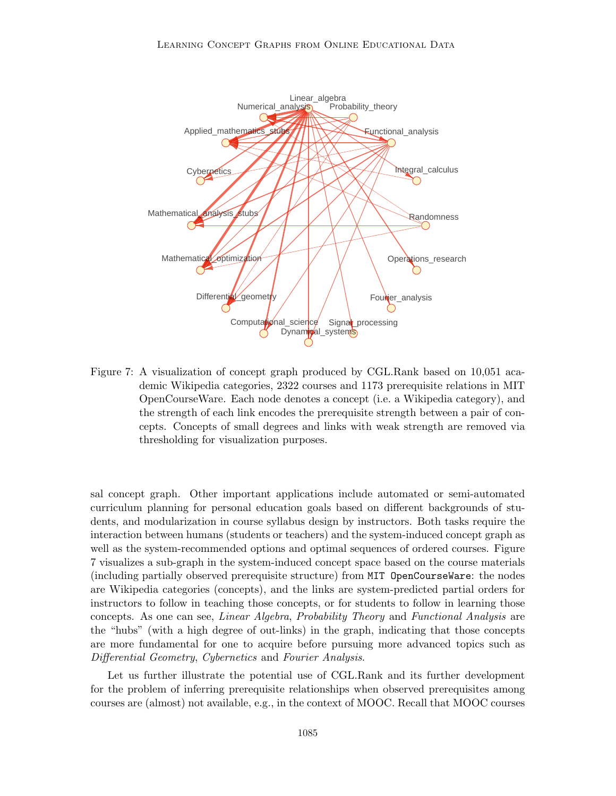

Figure 7: A visualization of concept graph produced by CGL.Rank based on 10,051 academic Wikipedia categories, 2322 courses and 1173 prerequisite relations in MIT OpenCourseWare. Each node denotes a concept (i.e. a Wikipedia category), and the strength of each link encodes the prerequisite strength between a pair of concepts. Concepts of small degrees and links with weak strength are removed via thresholding for visualization purposes.

sal concept graph. Other important applications include automated or semi-automated curriculum planning for personal education goals based on different backgrounds of students, and modularization in course syllabus design by instructors. Both tasks require the interaction between humans (students or teachers) and the system-induced concept graph as well as the system-recommended options and optimal sequences of ordered courses. Figure 7 visualizes a sub-graph in the system-induced concept space based on the course materials (including partially observed prerequisite structure) from MIT OpenCourseWare: the nodes are Wikipedia categories (concepts), and the links are system-predicted partial orders for instructors to follow in teaching those concepts, or for students to follow in learning those concepts. As one can see, Linear Algebra, Probability Theory and Functional Analysis are the "hubs" (with a high degree of out-links) in the graph, indicating that those concepts are more fundamental for one to acquire before pursuing more advanced topics such as Differential Geometry, Cybernetics and Fourier Analysis.

Let us further illustrate the potential use of CGL.Rank and its further development for the problem of inferring prerequisite relationships when observed prerequisites among courses are (almost) not available, e.g., in the context of MOOC. Recall that MOOC courses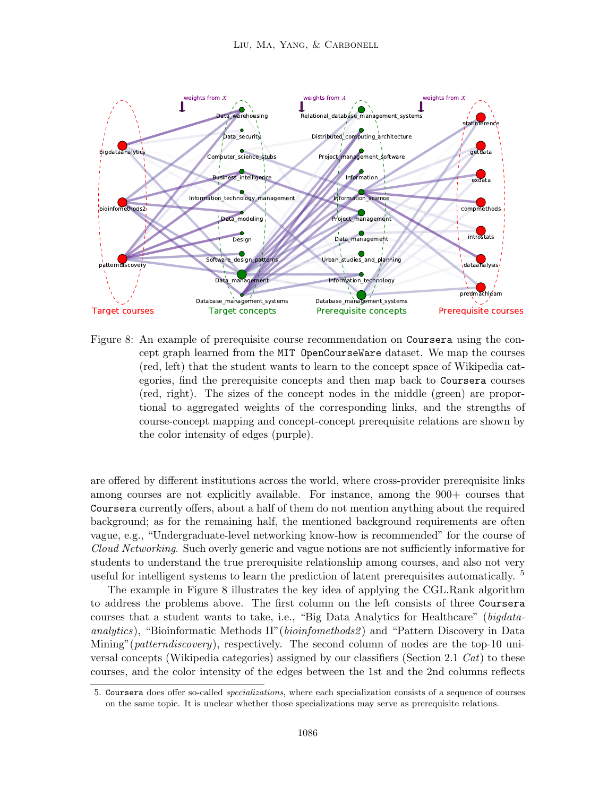

Figure 8: An example of prerequisite course recommendation on Coursera using the concept graph learned from the MIT OpenCourseWare dataset. We map the courses (red, left) that the student wants to learn to the concept space of Wikipedia categories, find the prerequisite concepts and then map back to Coursera courses (red, right). The sizes of the concept nodes in the middle (green) are proportional to aggregated weights of the corresponding links, and the strengths of course-concept mapping and concept-concept prerequisite relations are shown by the color intensity of edges (purple).

are offered by different institutions across the world, where cross-provider prerequisite links among courses are not explicitly available. For instance, among the 900+ courses that Coursera currently offers, about a half of them do not mention anything about the required background; as for the remaining half, the mentioned background requirements are often vague, e.g., "Undergraduate-level networking know-how is recommended" for the course of Cloud Networking. Such overly generic and vague notions are not sufficiently informative for students to understand the true prerequisite relationship among courses, and also not very useful for intelligent systems to learn the prediction of latent prerequisites automatically. <sup>5</sup>

The example in Figure 8 illustrates the key idea of applying the CGL.Rank algorithm to address the problems above. The first column on the left consists of three Coursera courses that a student wants to take, i.e., "Big Data Analytics for Healthcare" (bigdataanalytics), "Bioinformatic Methods II"(bioinfomethods2) and "Pattern Discovery in Data Mining" (*patterndiscovery*), respectively. The second column of nodes are the top-10 universal concepts (Wikipedia categories) assigned by our classifiers (Section 2.1  $Cat$ ) to these courses, and the color intensity of the edges between the 1st and the 2nd columns reflects

<sup>5.</sup> Coursera does offer so-called specializations, where each specialization consists of a sequence of courses on the same topic. It is unclear whether those specializations may serve as prerequisite relations.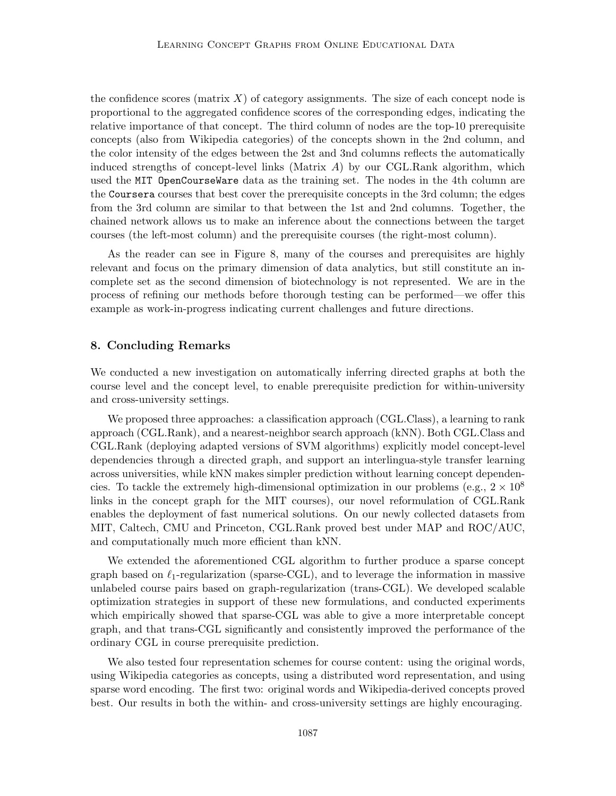the confidence scores (matrix  $X$ ) of category assignments. The size of each concept node is proportional to the aggregated confidence scores of the corresponding edges, indicating the relative importance of that concept. The third column of nodes are the top-10 prerequisite concepts (also from Wikipedia categories) of the concepts shown in the 2nd column, and the color intensity of the edges between the 2st and 3nd columns reflects the automatically induced strengths of concept-level links (Matrix  $A$ ) by our CGL.Rank algorithm, which used the MIT OpenCourseWare data as the training set. The nodes in the 4th column are the Coursera courses that best cover the prerequisite concepts in the 3rd column; the edges from the 3rd column are similar to that between the 1st and 2nd columns. Together, the chained network allows us to make an inference about the connections between the target courses (the left-most column) and the prerequisite courses (the right-most column).

As the reader can see in Figure 8, many of the courses and prerequisites are highly relevant and focus on the primary dimension of data analytics, but still constitute an incomplete set as the second dimension of biotechnology is not represented. We are in the process of refining our methods before thorough testing can be performed—we offer this example as work-in-progress indicating current challenges and future directions.

# 8. Concluding Remarks

We conducted a new investigation on automatically inferring directed graphs at both the course level and the concept level, to enable prerequisite prediction for within-university and cross-university settings.

We proposed three approaches: a classification approach (CGL.Class), a learning to rank approach (CGL.Rank), and a nearest-neighbor search approach (kNN). Both CGL.Class and CGL.Rank (deploying adapted versions of SVM algorithms) explicitly model concept-level dependencies through a directed graph, and support an interlingua-style transfer learning across universities, while kNN makes simpler prediction without learning concept dependencies. To tackle the extremely high-dimensional optimization in our problems (e.g.,  $2 \times 10^8$ ) links in the concept graph for the MIT courses), our novel reformulation of CGL.Rank enables the deployment of fast numerical solutions. On our newly collected datasets from MIT, Caltech, CMU and Princeton, CGL.Rank proved best under MAP and ROC/AUC, and computationally much more efficient than kNN.

We extended the aforementioned CGL algorithm to further produce a sparse concept graph based on  $\ell_1$ -regularization (sparse-CGL), and to leverage the information in massive unlabeled course pairs based on graph-regularization (trans-CGL). We developed scalable optimization strategies in support of these new formulations, and conducted experiments which empirically showed that sparse-CGL was able to give a more interpretable concept graph, and that trans-CGL significantly and consistently improved the performance of the ordinary CGL in course prerequisite prediction.

We also tested four representation schemes for course content: using the original words, using Wikipedia categories as concepts, using a distributed word representation, and using sparse word encoding. The first two: original words and Wikipedia-derived concepts proved best. Our results in both the within- and cross-university settings are highly encouraging.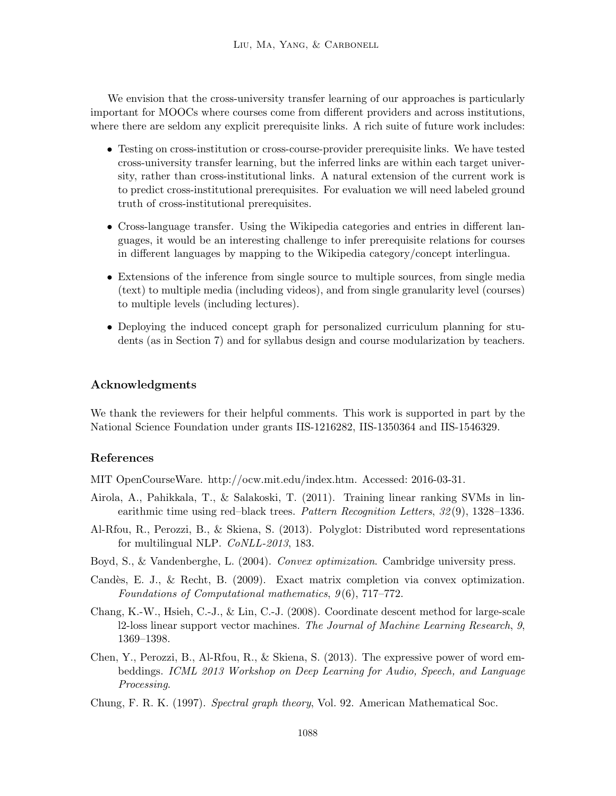We envision that the cross-university transfer learning of our approaches is particularly important for MOOCs where courses come from different providers and across institutions, where there are seldom any explicit prerequisite links. A rich suite of future work includes:

- Testing on cross-institution or cross-course-provider prerequisite links. We have tested cross-university transfer learning, but the inferred links are within each target university, rather than cross-institutional links. A natural extension of the current work is to predict cross-institutional prerequisites. For evaluation we will need labeled ground truth of cross-institutional prerequisites.
- Cross-language transfer. Using the Wikipedia categories and entries in different languages, it would be an interesting challenge to infer prerequisite relations for courses in different languages by mapping to the Wikipedia category/concept interlingua.
- Extensions of the inference from single source to multiple sources, from single media (text) to multiple media (including videos), and from single granularity level (courses) to multiple levels (including lectures).
- Deploying the induced concept graph for personalized curriculum planning for students (as in Section 7) and for syllabus design and course modularization by teachers.

# Acknowledgments

We thank the reviewers for their helpful comments. This work is supported in part by the National Science Foundation under grants IIS-1216282, IIS-1350364 and IIS-1546329.

# References

MIT OpenCourseWare. http://ocw.mit.edu/index.htm. Accessed: 2016-03-31.

- Airola, A., Pahikkala, T., & Salakoski, T. (2011). Training linear ranking SVMs in linearithmic time using red–black trees. Pattern Recognition Letters, 32 (9), 1328–1336.
- Al-Rfou, R., Perozzi, B., & Skiena, S. (2013). Polyglot: Distributed word representations for multilingual NLP. CoNLL-2013, 183.
- Boyd, S., & Vandenberghe, L. (2004). *Convex optimization*. Cambridge university press.
- Candès, E. J., & Recht, B. (2009). Exact matrix completion via convex optimization. Foundations of Computational mathematics, 9 (6), 717–772.
- Chang, K.-W., Hsieh, C.-J., & Lin, C.-J. (2008). Coordinate descent method for large-scale l2-loss linear support vector machines. The Journal of Machine Learning Research, 9, 1369–1398.
- Chen, Y., Perozzi, B., Al-Rfou, R., & Skiena, S. (2013). The expressive power of word embeddings. ICML 2013 Workshop on Deep Learning for Audio, Speech, and Language Processing.
- Chung, F. R. K. (1997). Spectral graph theory, Vol. 92. American Mathematical Soc.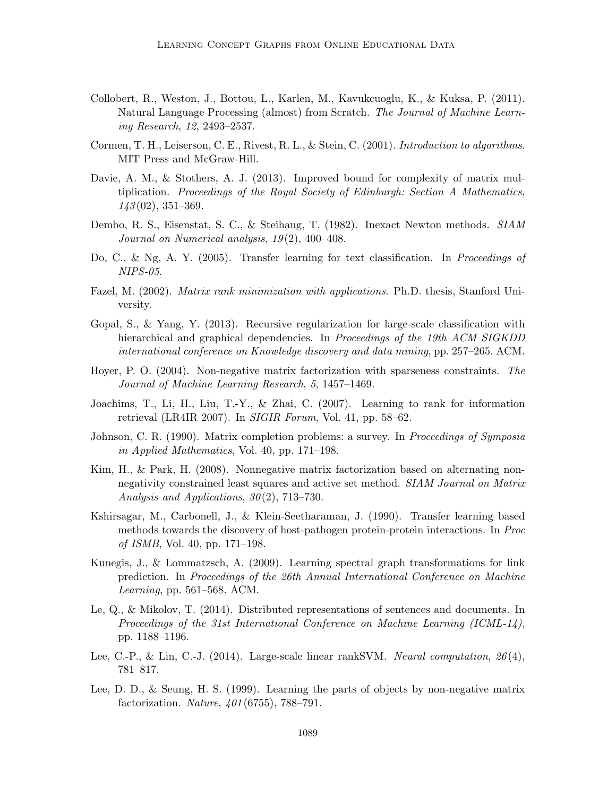- Collobert, R., Weston, J., Bottou, L., Karlen, M., Kavukcuoglu, K., & Kuksa, P. (2011). Natural Language Processing (almost) from Scratch. The Journal of Machine Learning Research, 12, 2493–2537.
- Cormen, T. H., Leiserson, C. E., Rivest, R. L., & Stein, C. (2001). Introduction to algorithms. MIT Press and McGraw-Hill.
- Davie, A. M., & Stothers, A. J. (2013). Improved bound for complexity of matrix multiplication. Proceedings of the Royal Society of Edinburgh: Section A Mathematics,  $143(02)$ ,  $351-369$ .
- Dembo, R. S., Eisenstat, S. C., & Steihaug, T. (1982). Inexact Newton methods. SIAM Journal on Numerical analysis, 19 (2), 400–408.
- Do, C., & Ng, A. Y. (2005). Transfer learning for text classification. In Proceedings of NIPS-05.
- Fazel, M. (2002). *Matrix rank minimization with applications*. Ph.D. thesis, Stanford University.
- Gopal, S., & Yang, Y. (2013). Recursive regularization for large-scale classification with hierarchical and graphical dependencies. In Proceedings of the 19th ACM SIGKDD international conference on Knowledge discovery and data mining, pp. 257–265. ACM.
- Hoyer, P. O. (2004). Non-negative matrix factorization with sparseness constraints. The Journal of Machine Learning Research, 5, 1457–1469.
- Joachims, T., Li, H., Liu, T.-Y., & Zhai, C. (2007). Learning to rank for information retrieval (LR4IR 2007). In SIGIR Forum, Vol. 41, pp. 58–62.
- Johnson, C. R. (1990). Matrix completion problems: a survey. In Proceedings of Symposia in Applied Mathematics, Vol. 40, pp. 171–198.
- Kim, H., & Park, H. (2008). Nonnegative matrix factorization based on alternating nonnegativity constrained least squares and active set method. SIAM Journal on Matrix Analysis and Applications,  $30(2)$ , 713–730.
- Kshirsagar, M., Carbonell, J., & Klein-Seetharaman, J. (1990). Transfer learning based methods towards the discovery of host-pathogen protein-protein interactions. In Proc of ISMB, Vol. 40, pp. 171–198.
- Kunegis, J., & Lommatzsch, A. (2009). Learning spectral graph transformations for link prediction. In Proceedings of the 26th Annual International Conference on Machine Learning, pp. 561–568. ACM.
- Le, Q., & Mikolov, T. (2014). Distributed representations of sentences and documents. In Proceedings of the 31st International Conference on Machine Learning (ICML-14), pp. 1188–1196.
- Lee, C.-P., & Lin, C.-J. (2014). Large-scale linear rankSVM. Neural computation,  $26(4)$ , 781–817.
- Lee, D. D., & Seung, H. S. (1999). Learning the parts of objects by non-negative matrix factorization. Nature, 401 (6755), 788–791.